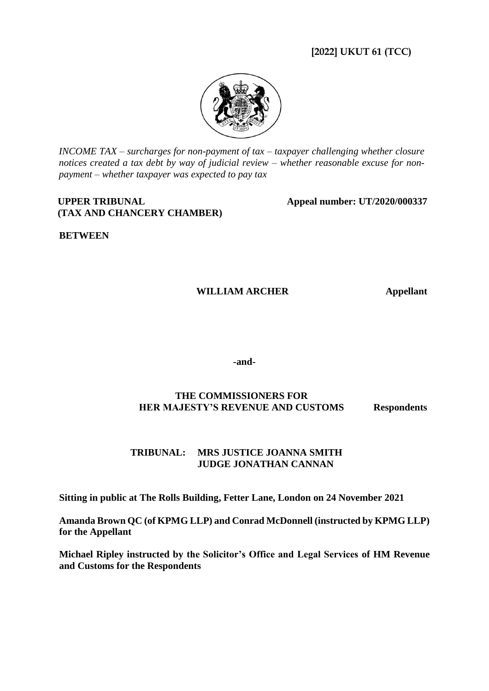# **[2022] UKUT 61 (TCC)**



*INCOME TAX – surcharges for non-payment of tax – taxpayer challenging whether closure notices created a tax debt by way of judicial review – whether reasonable excuse for nonpayment – whether taxpayer was expected to pay tax*

### **UPPER TRIBUNAL (TAX AND CHANCERY CHAMBER)**

**Appeal number: UT/2020/000337**

**BETWEEN**

## **WILLIAM ARCHER Appellant**

**-and-**

## **THE COMMISSIONERS FOR HER MAJESTY'S REVENUE AND CUSTOMS Respondents**

### **TRIBUNAL: MRS JUSTICE JOANNA SMITH JUDGE JONATHAN CANNAN**

**Sitting in public at The Rolls Building, Fetter Lane, London on 24 November 2021**

**Amanda Brown QC (of KPMG LLP) and Conrad McDonnell (instructed by KPMG LLP) for the Appellant**

**Michael Ripley instructed by the Solicitor's Office and Legal Services of HM Revenue and Customs for the Respondents**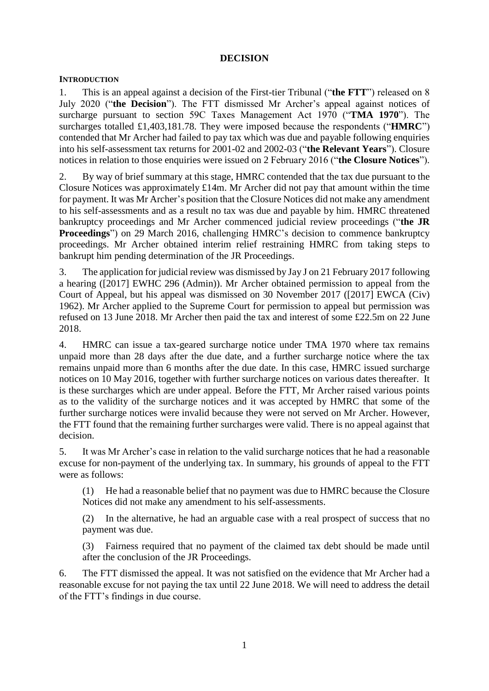### **DECISION**

#### **INTRODUCTION**

1. This is an appeal against a decision of the First-tier Tribunal ("**the FTT**") released on 8 July 2020 ("**the Decision**"). The FTT dismissed Mr Archer's appeal against notices of surcharge pursuant to section 59C Taxes Management Act 1970 ("**TMA 1970**"). The surcharges totalled £1,403,181.78. They were imposed because the respondents ("**HMRC**") contended that Mr Archer had failed to pay tax which was due and payable following enquiries into his self-assessment tax returns for 2001-02 and 2002-03 ("**the Relevant Years**"). Closure notices in relation to those enquiries were issued on 2 February 2016 ("**the Closure Notices**").

2. By way of brief summary at this stage, HMRC contended that the tax due pursuant to the Closure Notices was approximately £14m. Mr Archer did not pay that amount within the time for payment. It was Mr Archer's position that the Closure Notices did not make any amendment to his self-assessments and as a result no tax was due and payable by him. HMRC threatened bankruptcy proceedings and Mr Archer commenced judicial review proceedings ("**the JR Proceedings**") on 29 March 2016, challenging HMRC's decision to commence bankruptcy proceedings. Mr Archer obtained interim relief restraining HMRC from taking steps to bankrupt him pending determination of the JR Proceedings.

3. The application for judicial review was dismissed by Jay J on 21 February 2017 following a hearing ([2017] EWHC 296 (Admin)). Mr Archer obtained permission to appeal from the Court of Appeal, but his appeal was dismissed on 30 November 2017 ([2017] EWCA (Civ) 1962). Mr Archer applied to the Supreme Court for permission to appeal but permission was refused on 13 June 2018. Mr Archer then paid the tax and interest of some £22.5m on 22 June 2018.

4. HMRC can issue a tax-geared surcharge notice under TMA 1970 where tax remains unpaid more than 28 days after the due date, and a further surcharge notice where the tax remains unpaid more than 6 months after the due date. In this case, HMRC issued surcharge notices on 10 May 2016, together with further surcharge notices on various dates thereafter. It is these surcharges which are under appeal. Before the FTT, Mr Archer raised various points as to the validity of the surcharge notices and it was accepted by HMRC that some of the further surcharge notices were invalid because they were not served on Mr Archer. However, the FTT found that the remaining further surcharges were valid. There is no appeal against that decision.

5. It was Mr Archer's case in relation to the valid surcharge notices that he had a reasonable excuse for non-payment of the underlying tax. In summary, his grounds of appeal to the FTT were as follows:

(1) He had a reasonable belief that no payment was due to HMRC because the Closure Notices did not make any amendment to his self-assessments.

(2) In the alternative, he had an arguable case with a real prospect of success that no payment was due.

(3) Fairness required that no payment of the claimed tax debt should be made until after the conclusion of the JR Proceedings.

6. The FTT dismissed the appeal. It was not satisfied on the evidence that Mr Archer had a reasonable excuse for not paying the tax until 22 June 2018. We will need to address the detail of the FTT's findings in due course.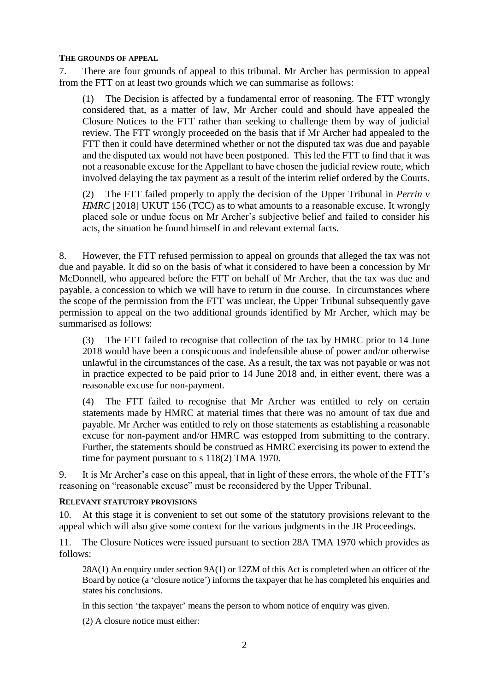#### **THE GROUNDS OF APPEAL**

7. There are four grounds of appeal to this tribunal. Mr Archer has permission to appeal from the FTT on at least two grounds which we can summarise as follows:

(1) The Decision is affected by a fundamental error of reasoning. The FTT wrongly considered that, as a matter of law, Mr Archer could and should have appealed the Closure Notices to the FTT rather than seeking to challenge them by way of judicial review. The FTT wrongly proceeded on the basis that if Mr Archer had appealed to the FTT then it could have determined whether or not the disputed tax was due and payable and the disputed tax would not have been postponed. This led the FTT to find that it was not a reasonable excuse for the Appellant to have chosen the judicial review route, which involved delaying the tax payment as a result of the interim relief ordered by the Courts.

(2) The FTT failed properly to apply the decision of the Upper Tribunal in *Perrin v HMRC* [2018] UKUT 156 (TCC) as to what amounts to a reasonable excuse. It wrongly placed sole or undue focus on Mr Archer's subjective belief and failed to consider his acts, the situation he found himself in and relevant external facts.

8. However, the FTT refused permission to appeal on grounds that alleged the tax was not due and payable. It did so on the basis of what it considered to have been a concession by Mr McDonnell, who appeared before the FTT on behalf of Mr Archer, that the tax was due and payable, a concession to which we will have to return in due course. In circumstances where the scope of the permission from the FTT was unclear, the Upper Tribunal subsequently gave permission to appeal on the two additional grounds identified by Mr Archer, which may be summarised as follows:

(3) The FTT failed to recognise that collection of the tax by HMRC prior to 14 June 2018 would have been a conspicuous and indefensible abuse of power and/or otherwise unlawful in the circumstances of the case. As a result, the tax was not payable or was not in practice expected to be paid prior to 14 June 2018 and, in either event, there was a reasonable excuse for non-payment.

(4) The FTT failed to recognise that Mr Archer was entitled to rely on certain statements made by HMRC at material times that there was no amount of tax due and payable. Mr Archer was entitled to rely on those statements as establishing a reasonable excuse for non-payment and/or HMRC was estopped from submitting to the contrary. Further, the statements should be construed as HMRC exercising its power to extend the time for payment pursuant to s 118(2) TMA 1970.

9. It is Mr Archer's case on this appeal, that in light of these errors, the whole of the FTT's reasoning on "reasonable excuse" must be reconsidered by the Upper Tribunal.

#### **RELEVANT STATUTORY PROVISIONS**

10. At this stage it is convenient to set out some of the statutory provisions relevant to the appeal which will also give some context for the various judgments in the JR Proceedings.

11. The Closure Notices were issued pursuant to section 28A TMA 1970 which provides as follows:

28A(1) An enquiry under section 9A(1) or 12ZM of this Act is completed when an officer of the Board by notice (a 'closure notice') informs the taxpayer that he has completed his enquiries and states his conclusions.

In this section 'the taxpayer' means the person to whom notice of enquiry was given.

(2) A closure notice must either: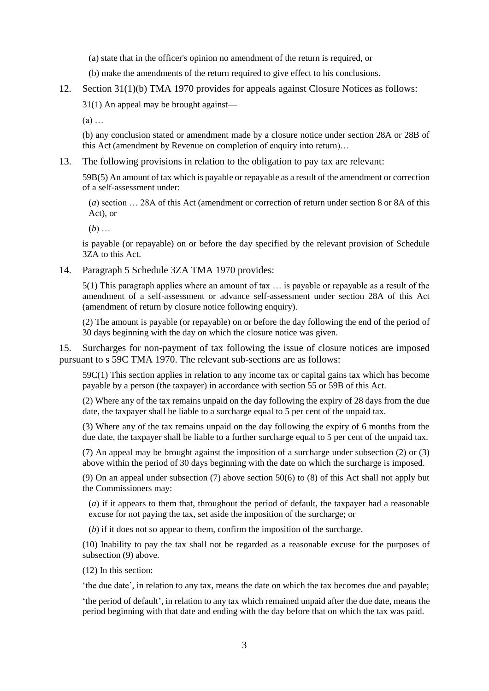(a) state that in the officer's opinion no amendment of the return is required, or

- (b) make the amendments of the return required to give effect to his conclusions.
- 12. Section 31(1)(b) TMA 1970 provides for appeals against Closure Notices as follows:

31(1) An appeal may be brought against—

(a) …

(b) any conclusion stated or amendment made by a closure notice under section 28A or 28B of this Act (amendment by Revenue on completion of enquiry into return)…

13. The following provisions in relation to the obligation to pay tax are relevant:

59B(5) An amount of tax which is payable or repayable as a result of the amendment or correction of a self-assessment under:

(*a*) section … 28A of this Act (amendment or correction of return under section 8 or 8A of this Act), or

(*b*) …

is payable (or repayable) on or before the day specified by the relevant provision of Schedule 3ZA to this Act.

14. Paragraph 5 Schedule 3ZA TMA 1970 provides:

 $5(1)$  This paragraph applies where an amount of tax  $\ldots$  is payable or repayable as a result of the amendment of a self-assessment or advance self-assessment under section 28A of this Act (amendment of return by closure notice following enquiry).

(2) The amount is payable (or repayable) on or before the day following the end of the period of 30 days beginning with the day on which the closure notice was given.

15. Surcharges for non-payment of tax following the issue of closure notices are imposed pursuant to s 59C TMA 1970. The relevant sub-sections are as follows:

59C(1) This section applies in relation to any income tax or capital gains tax which has become payable by a person (the taxpayer) in accordance with section 55 or 59B of this Act.

(2) Where any of the tax remains unpaid on the day following the expiry of 28 days from the due date, the taxpayer shall be liable to a surcharge equal to 5 per cent of the unpaid tax.

(3) Where any of the tax remains unpaid on the day following the expiry of 6 months from the due date, the taxpayer shall be liable to a further surcharge equal to 5 per cent of the unpaid tax.

(7) An appeal may be brought against the imposition of a surcharge under subsection (2) or (3) above within the period of 30 days beginning with the date on which the surcharge is imposed.

(9) On an appeal under subsection (7) above section 50(6) to (8) of this Act shall not apply but the Commissioners may:

(*a*) if it appears to them that, throughout the period of default, the taxpayer had a reasonable excuse for not paying the tax, set aside the imposition of the surcharge; or

(*b*) if it does not so appear to them, confirm the imposition of the surcharge.

(10) Inability to pay the tax shall not be regarded as a reasonable excuse for the purposes of subsection (9) above.

(12) In this section:

'the due date', in relation to any tax, means the date on which the tax becomes due and payable;

'the period of default', in relation to any tax which remained unpaid after the due date, means the period beginning with that date and ending with the day before that on which the tax was paid.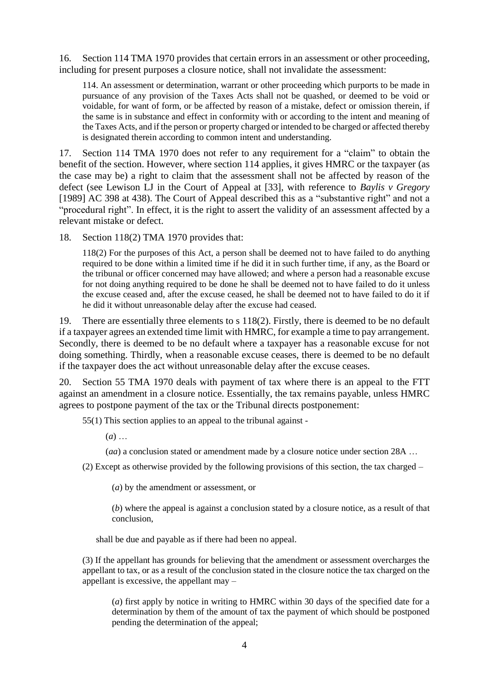16. Section 114 TMA 1970 provides that certain errors in an assessment or other proceeding, including for present purposes a closure notice, shall not invalidate the assessment:

114. An assessment or determination, warrant or other proceeding which purports to be made in pursuance of any provision of the Taxes Acts shall not be quashed, or deemed to be void or voidable, for want of form, or be affected by reason of a mistake, defect or omission therein, if the same is in substance and effect in conformity with or according to the intent and meaning of the Taxes Acts, and if the person or property charged or intended to be charged or affected thereby is designated therein according to common intent and understanding.

17. Section 114 TMA 1970 does not refer to any requirement for a "claim" to obtain the benefit of the section. However, where section 114 applies, it gives HMRC or the taxpayer (as the case may be) a right to claim that the assessment shall not be affected by reason of the defect (see Lewison LJ in the Court of Appeal at [33], with reference to *Baylis v Gregory* [1989] AC 398 at 438). The Court of Appeal described this as a "substantive right" and not a "procedural right". In effect, it is the right to assert the validity of an assessment affected by a relevant mistake or defect.

18. Section 118(2) TMA 1970 provides that:

118(2) For the purposes of this Act, a person shall be deemed not to have failed to do anything required to be done within a limited time if he did it in such further time, if any, as the Board or the tribunal or officer concerned may have allowed; and where a person had a reasonable excuse for not doing anything required to be done he shall be deemed not to have failed to do it unless the excuse ceased and, after the excuse ceased, he shall be deemed not to have failed to do it if he did it without unreasonable delay after the excuse had ceased.

19. There are essentially three elements to s 118(2). Firstly, there is deemed to be no default if a taxpayer agrees an extended time limit with HMRC, for example a time to pay arrangement. Secondly, there is deemed to be no default where a taxpayer has a reasonable excuse for not doing something. Thirdly, when a reasonable excuse ceases, there is deemed to be no default if the taxpayer does the act without unreasonable delay after the excuse ceases.

20. Section 55 TMA 1970 deals with payment of tax where there is an appeal to the FTT against an amendment in a closure notice. Essentially, the tax remains payable, unless HMRC agrees to postpone payment of the tax or the Tribunal directs postponement:

55(1) This section applies to an appeal to the tribunal against -

(*a*) …

(*aa*) a conclusion stated or amendment made by a closure notice under section 28A …

(2) Except as otherwise provided by the following provisions of this section, the tax charged –

(*a*) by the amendment or assessment, or

(*b*) where the appeal is against a conclusion stated by a closure notice, as a result of that conclusion,

shall be due and payable as if there had been no appeal.

(3) If the appellant has grounds for believing that the amendment or assessment overcharges the appellant to tax, or as a result of the conclusion stated in the closure notice the tax charged on the appellant is excessive, the appellant may –

(*a*) first apply by notice in writing to HMRC within 30 days of the specified date for a determination by them of the amount of tax the payment of which should be postponed pending the determination of the appeal;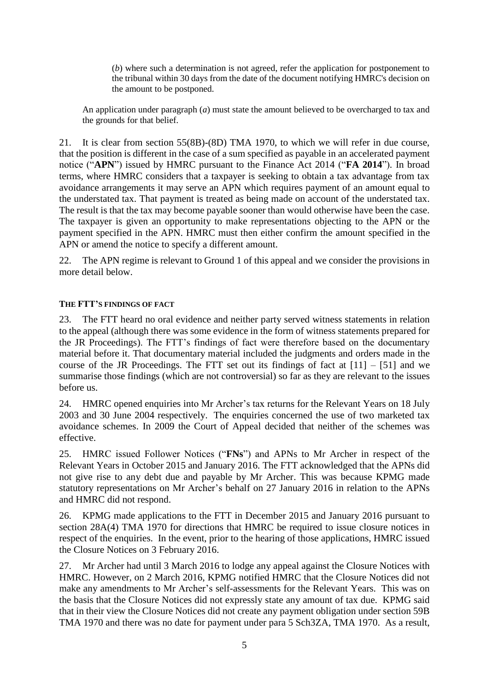(*b*) where such a determination is not agreed, refer the application for postponement to the tribunal within 30 days from the date of the document notifying HMRC's decision on the amount to be postponed.

An application under paragraph (*a*) must state the amount believed to be overcharged to tax and the grounds for that belief.

21. It is clear from section 55(8B)-(8D) TMA 1970, to which we will refer in due course, that the position is different in the case of a sum specified as payable in an accelerated payment notice ("**APN**") issued by HMRC pursuant to the Finance Act 2014 ("**FA 2014**"). In broad terms, where HMRC considers that a taxpayer is seeking to obtain a tax advantage from tax avoidance arrangements it may serve an APN which requires payment of an amount equal to the understated tax. That payment is treated as being made on account of the understated tax. The result is that the tax may become payable sooner than would otherwise have been the case. The taxpayer is given an opportunity to make representations objecting to the APN or the payment specified in the APN. HMRC must then either confirm the amount specified in the APN or amend the notice to specify a different amount.

22. The APN regime is relevant to Ground 1 of this appeal and we consider the provisions in more detail below.

### **THE FTT'S FINDINGS OF FACT**

23. The FTT heard no oral evidence and neither party served witness statements in relation to the appeal (although there was some evidence in the form of witness statements prepared for the JR Proceedings). The FTT's findings of fact were therefore based on the documentary material before it. That documentary material included the judgments and orders made in the course of the JR Proceedings. The FTT set out its findings of fact at  $[11] - [51]$  and we summarise those findings (which are not controversial) so far as they are relevant to the issues before us.

24. HMRC opened enquiries into Mr Archer's tax returns for the Relevant Years on 18 July 2003 and 30 June 2004 respectively. The enquiries concerned the use of two marketed tax avoidance schemes. In 2009 the Court of Appeal decided that neither of the schemes was effective.

25. HMRC issued Follower Notices ("**FNs**") and APNs to Mr Archer in respect of the Relevant Years in October 2015 and January 2016. The FTT acknowledged that the APNs did not give rise to any debt due and payable by Mr Archer. This was because KPMG made statutory representations on Mr Archer's behalf on 27 January 2016 in relation to the APNs and HMRC did not respond.

26. KPMG made applications to the FTT in December 2015 and January 2016 pursuant to section 28A(4) TMA 1970 for directions that HMRC be required to issue closure notices in respect of the enquiries. In the event, prior to the hearing of those applications, HMRC issued the Closure Notices on 3 February 2016.

27. Mr Archer had until 3 March 2016 to lodge any appeal against the Closure Notices with HMRC. However, on 2 March 2016, KPMG notified HMRC that the Closure Notices did not make any amendments to Mr Archer's self-assessments for the Relevant Years. This was on the basis that the Closure Notices did not expressly state any amount of tax due. KPMG said that in their view the Closure Notices did not create any payment obligation under section 59B TMA 1970 and there was no date for payment under para 5 Sch3ZA, TMA 1970. As a result,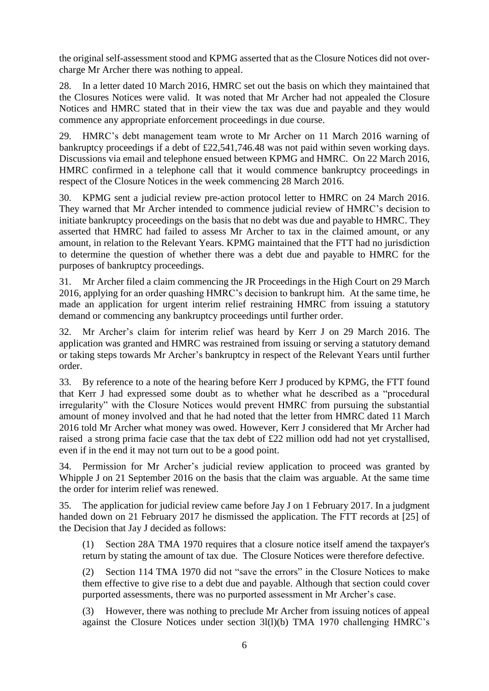the original self-assessment stood and KPMG asserted that as the Closure Notices did not overcharge Mr Archer there was nothing to appeal.

28. In a letter dated 10 March 2016, HMRC set out the basis on which they maintained that the Closures Notices were valid. It was noted that Mr Archer had not appealed the Closure Notices and HMRC stated that in their view the tax was due and payable and they would commence any appropriate enforcement proceedings in due course.

29. HMRC's debt management team wrote to Mr Archer on 11 March 2016 warning of bankruptcy proceedings if a debt of £22,541,746.48 was not paid within seven working days. Discussions via email and telephone ensued between KPMG and HMRC. On 22 March 2016, HMRC confirmed in a telephone call that it would commence bankruptcy proceedings in respect of the Closure Notices in the week commencing 28 March 2016.

30. KPMG sent a judicial review pre-action protocol letter to HMRC on 24 March 2016. They warned that Mr Archer intended to commence judicial review of HMRC's decision to initiate bankruptcy proceedings on the basis that no debt was due and payable to HMRC. They asserted that HMRC had failed to assess Mr Archer to tax in the claimed amount, or any amount, in relation to the Relevant Years. KPMG maintained that the FTT had no jurisdiction to determine the question of whether there was a debt due and payable to HMRC for the purposes of bankruptcy proceedings.

31. Mr Archer filed a claim commencing the JR Proceedings in the High Court on 29 March 2016, applying for an order quashing HMRC's decision to bankrupt him. At the same time, he made an application for urgent interim relief restraining HMRC from issuing a statutory demand or commencing any bankruptcy proceedings until further order.

32. Mr Archer's claim for interim relief was heard by Kerr J on 29 March 2016. The application was granted and HMRC was restrained from issuing or serving a statutory demand or taking steps towards Mr Archer's bankruptcy in respect of the Relevant Years until further order.

33. By reference to a note of the hearing before Kerr J produced by KPMG, the FTT found that Kerr J had expressed some doubt as to whether what he described as a "procedural irregularity" with the Closure Notices would prevent HMRC from pursuing the substantial amount of money involved and that he had noted that the letter from HMRC dated 11 March 2016 told Mr Archer what money was owed. However, Kerr J considered that Mr Archer had raised a strong prima facie case that the tax debt of £22 million odd had not yet crystallised, even if in the end it may not turn out to be a good point.

34. Permission for Mr Archer's judicial review application to proceed was granted by Whipple J on 21 September 2016 on the basis that the claim was arguable. At the same time the order for interim relief was renewed.

35. The application for judicial review came before Jay J on 1 February 2017. In a judgment handed down on 21 February 2017 he dismissed the application. The FTT records at [25] of the Decision that Jay J decided as follows:

(1) Section 28A TMA 1970 requires that a closure notice itself amend the taxpayer's return by stating the amount of tax due. The Closure Notices were therefore defective.

(2) Section 114 TMA 1970 did not "save the errors" in the Closure Notices to make them effective to give rise to a debt due and payable. Although that section could cover purported assessments, there was no purported assessment in Mr Archer's case.

(3) However, there was nothing to preclude Mr Archer from issuing notices of appeal against the Closure Notices under section 3l(l)(b) TMA 1970 challenging HMRC's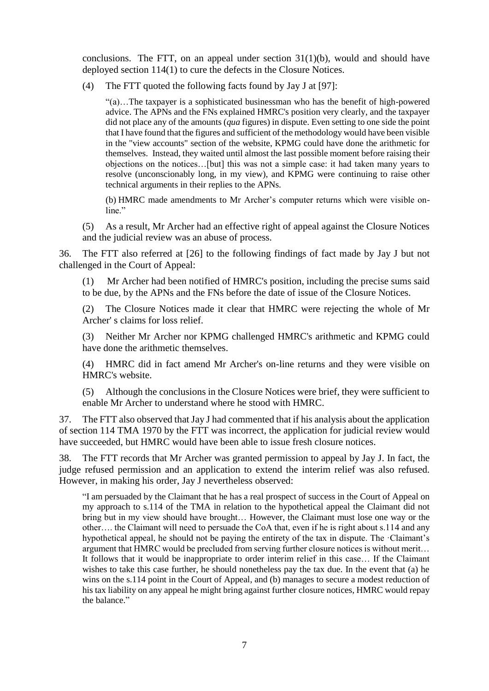conclusions. The FTT, on an appeal under section  $31(1)(b)$ , would and should have deployed section 114(1) to cure the defects in the Closure Notices.

(4) The FTT quoted the following facts found by Jay J at [97]:

"(a)…The taxpayer is a sophisticated businessman who has the benefit of high-powered advice. The APNs and the FNs explained HMRC's position very clearly, and the taxpayer did not place any of the amounts (*qua* figures) in dispute. Even setting to one side the point that I have found that the figures and sufficient of the methodology would have been visible in the "view accounts" section of the website, KPMG could have done the arithmetic for themselves. Instead, they waited until almost the last possible moment before raising their objections on the notices…[but] this was not a simple case: it had taken many years to resolve (unconscionably long, in my view), and KPMG were continuing to raise other technical arguments in their replies to the APNs.

(b) HMRC made amendments to Mr Archer's computer returns which were visible online."

(5) As a result, Mr Archer had an effective right of appeal against the Closure Notices and the judicial review was an abuse of process.

36. The FTT also referred at [26] to the following findings of fact made by Jay J but not challenged in the Court of Appeal:

(1) Mr Archer had been notified of HMRC's position, including the precise sums said to be due, by the APNs and the FNs before the date of issue of the Closure Notices.

(2) The Closure Notices made it clear that HMRC were rejecting the whole of Mr Archer' s claims for loss relief.

(3) Neither Mr Archer nor KPMG challenged HMRC's arithmetic and KPMG could have done the arithmetic themselves.

(4) HMRC did in fact amend Mr Archer's on-line returns and they were visible on HMRC's website.

(5) Although the conclusions in the Closure Notices were brief, they were sufficient to enable Mr Archer to understand where he stood with HMRC.

37. The FTT also observed that Jay J had commented that if his analysis about the application of section 114 TMA 1970 by the FTT was incorrect, the application for judicial review would have succeeded, but HMRC would have been able to issue fresh closure notices.

38. The FTT records that Mr Archer was granted permission to appeal by Jay J. In fact, the judge refused permission and an application to extend the interim relief was also refused. However, in making his order, Jay J nevertheless observed:

"I am persuaded by the Claimant that he has a real prospect of success in the Court of Appeal on my approach to s.114 of the TMA in relation to the hypothetical appeal the Claimant did not bring but in my view should have brought… However, the Claimant must lose one way or the other…. the Claimant will need to persuade the CoA that, even if he is right about s.114 and any hypothetical appeal, he should not be paying the entirety of the tax in dispute. The ·Claimant's argument that HMRC would be precluded from serving further closure notices is without merit… It follows that it would be inappropriate to order interim relief in this case… If the Claimant wishes to take this case further, he should nonetheless pay the tax due. In the event that (a) he wins on the s.114 point in the Court of Appeal, and (b) manages to secure a modest reduction of his tax liability on any appeal he might bring against further closure notices, HMRC would repay the balance."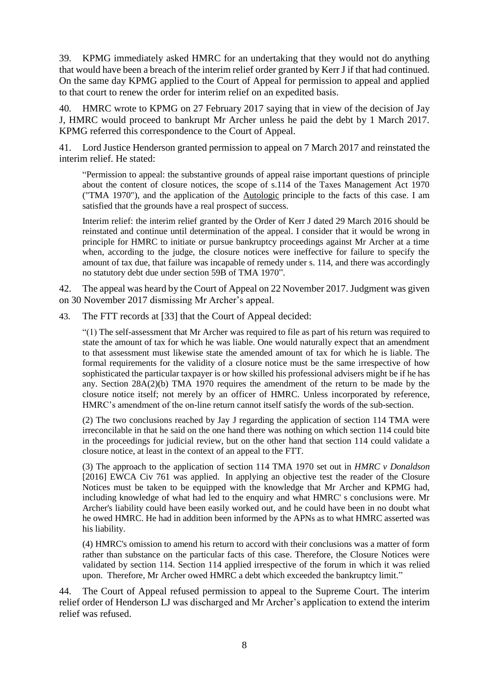39. KPMG immediately asked HMRC for an undertaking that they would not do anything that would have been a breach of the interim relief order granted by Kerr J if that had continued. On the same day KPMG applied to the Court of Appeal for permission to appeal and applied to that court to renew the order for interim relief on an expedited basis.

40. HMRC wrote to KPMG on 27 February 2017 saying that in view of the decision of Jay J, HMRC would proceed to bankrupt Mr Archer unless he paid the debt by 1 March 2017. KPMG referred this correspondence to the Court of Appeal.

41. Lord Justice Henderson granted permission to appeal on 7 March 2017 and reinstated the interim relief. He stated:

"Permission to appeal: the substantive grounds of appeal raise important questions of principle about the content of closure notices, the scope of s.114 of the Taxes Management Act 1970 ("TMA 1970"), and the application of the Autologic principle to the facts of this case. I am satisfied that the grounds have a real prospect of success.

Interim relief: the interim relief granted by the Order of Kerr J dated 29 March 2016 should be reinstated and continue until determination of the appeal. I consider that it would be wrong in principle for HMRC to initiate or pursue bankruptcy proceedings against Mr Archer at a time when, according to the judge, the closure notices were ineffective for failure to specify the amount of tax due, that failure was incapable of remedy under s. 114, and there was accordingly no statutory debt due under section 59B of TMA 1970".

42. The appeal was heard by the Court of Appeal on 22 November 2017. Judgment was given on 30 November 2017 dismissing Mr Archer's appeal.

43. The FTT records at [33] that the Court of Appeal decided:

"(1) The self-assessment that Mr Archer was required to file as part of his return was required to state the amount of tax for which he was liable. One would naturally expect that an amendment to that assessment must likewise state the amended amount of tax for which he is liable. The formal requirements for the validity of a closure notice must be the same irrespective of how sophisticated the particular taxpayer is or how skilled his professional advisers might be if he has any. Section  $28A(2)(b)$  TMA 1970 requires the amendment of the return to be made by the closure notice itself; not merely by an officer of HMRC. Unless incorporated by reference, HMRC's amendment of the on-line return cannot itself satisfy the words of the sub-section.

(2) The two conclusions reached by Jay J regarding the application of section 114 TMA were irreconcilable in that he said on the one hand there was nothing on which section 114 could bite in the proceedings for judicial review, but on the other hand that section 114 could validate a closure notice, at least in the context of an appeal to the FTT.

(3) The approach to the application of section 114 TMA 1970 set out in *HMRC v Donaldson* [2016] EWCA Civ 761 was applied. In applying an objective test the reader of the Closure Notices must be taken to be equipped with the knowledge that Mr Archer and KPMG had, including knowledge of what had led to the enquiry and what HMRC' s conclusions were. Mr Archer's liability could have been easily worked out, and he could have been in no doubt what he owed HMRC. He had in addition been informed by the APNs as to what HMRC asserted was his liability.

(4) HMRC's omission to amend his return to accord with their conclusions was a matter of form rather than substance on the particular facts of this case. Therefore, the Closure Notices were validated by section 114. Section 114 applied irrespective of the forum in which it was relied upon. Therefore, Mr Archer owed HMRC a debt which exceeded the bankruptcy limit."

44. The Court of Appeal refused permission to appeal to the Supreme Court. The interim relief order of Henderson LJ was discharged and Mr Archer's application to extend the interim relief was refused.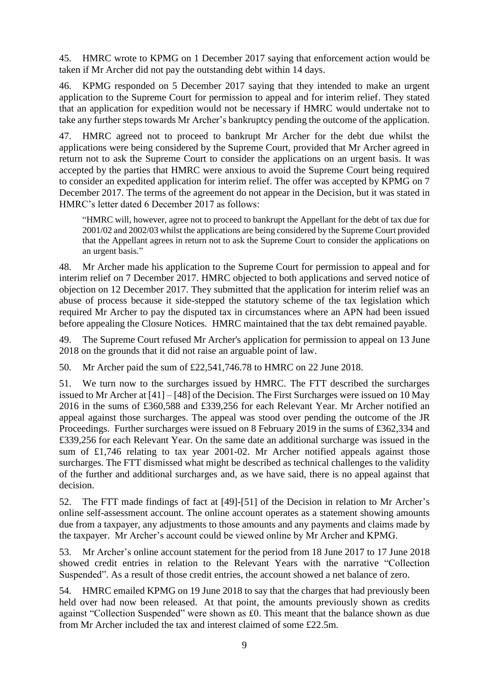45. HMRC wrote to KPMG on 1 December 2017 saying that enforcement action would be taken if Mr Archer did not pay the outstanding debt within 14 days.

46. KPMG responded on 5 December 2017 saying that they intended to make an urgent application to the Supreme Court for permission to appeal and for interim relief. They stated that an application for expedition would not be necessary if HMRC would undertake not to take any further steps towards Mr Archer's bankruptcy pending the outcome of the application.

47. HMRC agreed not to proceed to bankrupt Mr Archer for the debt due whilst the applications were being considered by the Supreme Court, provided that Mr Archer agreed in return not to ask the Supreme Court to consider the applications on an urgent basis. It was accepted by the parties that HMRC were anxious to avoid the Supreme Court being required to consider an expedited application for interim relief. The offer was accepted by KPMG on 7 December 2017. The terms of the agreement do not appear in the Decision, but it was stated in HMRC's letter dated 6 December 2017 as follows:

"HMRC will, however, agree not to proceed to bankrupt the Appellant for the debt of tax due for 2001/02 and 2002/03 whilst the applications are being considered by the Supreme Court provided that the Appellant agrees in return not to ask the Supreme Court to consider the applications on an urgent basis."

48. Mr Archer made his application to the Supreme Court for permission to appeal and for interim relief on 7 December 2017. HMRC objected to both applications and served notice of objection on 12 December 2017. They submitted that the application for interim relief was an abuse of process because it side-stepped the statutory scheme of the tax legislation which required Mr Archer to pay the disputed tax in circumstances where an APN had been issued before appealing the Closure Notices. HMRC maintained that the tax debt remained payable.

49. The Supreme Court refused Mr Archer's application for permission to appeal on 13 June 2018 on the grounds that it did not raise an arguable point of law.

50. Mr Archer paid the sum of £22,541,746.78 to HMRC on 22 June 2018.

51. We turn now to the surcharges issued by HMRC. The FTT described the surcharges issued to Mr Archer at [41] – [48] of the Decision. The First Surcharges were issued on 10 May 2016 in the sums of £360,588 and £339,256 for each Relevant Year. Mr Archer notified an appeal against those surcharges. The appeal was stood over pending the outcome of the JR Proceedings. Further surcharges were issued on 8 February 2019 in the sums of £362,334 and £339,256 for each Relevant Year. On the same date an additional surcharge was issued in the sum of £1,746 relating to tax year 2001-02. Mr Archer notified appeals against those surcharges. The FTT dismissed what might be described as technical challenges to the validity of the further and additional surcharges and, as we have said, there is no appeal against that decision.

52. The FTT made findings of fact at [49]-[51] of the Decision in relation to Mr Archer's online self-assessment account. The online account operates as a statement showing amounts due from a taxpayer, any adjustments to those amounts and any payments and claims made by the taxpayer. Mr Archer's account could be viewed online by Mr Archer and KPMG.

53. Mr Archer's online account statement for the period from 18 June 2017 to 17 June 2018 showed credit entries in relation to the Relevant Years with the narrative "Collection Suspended". As a result of those credit entries, the account showed a net balance of zero.

54. HMRC emailed KPMG on 19 June 2018 to say that the charges that had previously been held over had now been released. At that point, the amounts previously shown as credits against "Collection Suspended" were shown as £0. This meant that the balance shown as due from Mr Archer included the tax and interest claimed of some £22.5m.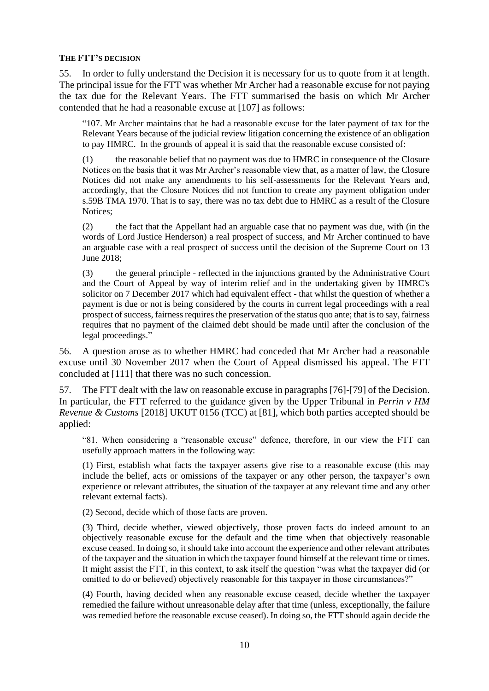#### **THE FTT'S DECISION**

55. In order to fully understand the Decision it is necessary for us to quote from it at length. The principal issue for the FTT was whether Mr Archer had a reasonable excuse for not paying the tax due for the Relevant Years. The FTT summarised the basis on which Mr Archer contended that he had a reasonable excuse at [107] as follows:

"107. Mr Archer maintains that he had a reasonable excuse for the later payment of tax for the Relevant Years because of the judicial review litigation concerning the existence of an obligation to pay HMRC. In the grounds of appeal it is said that the reasonable excuse consisted of:

(1) the reasonable belief that no payment was due to HMRC in consequence of the Closure Notices on the basis that it was Mr Archer's reasonable view that, as a matter of law, the Closure Notices did not make any amendments to his self-assessments for the Relevant Years and, accordingly, that the Closure Notices did not function to create any payment obligation under s.59B TMA 1970. That is to say, there was no tax debt due to HMRC as a result of the Closure Notices;

(2) the fact that the Appellant had an arguable case that no payment was due, with (in the words of Lord Justice Henderson) a real prospect of success, and Mr Archer continued to have an arguable case with a real prospect of success until the decision of the Supreme Court on 13 June 2018;

(3) the general principle - reflected in the injunctions granted by the Administrative Court and the Court of Appeal by way of interim relief and in the undertaking given by HMRC's solicitor on 7 December 2017 which had equivalent effect - that whilst the question of whether a payment is due or not is being considered by the courts in current legal proceedings with a real prospect of success, fairness requires the preservation of the status quo ante; that is to say, fairness requires that no payment of the claimed debt should be made until after the conclusion of the legal proceedings."

56. A question arose as to whether HMRC had conceded that Mr Archer had a reasonable excuse until 30 November 2017 when the Court of Appeal dismissed his appeal. The FTT concluded at [111] that there was no such concession.

57. The FTT dealt with the law on reasonable excuse in paragraphs [76]-[79] of the Decision. In particular, the FTT referred to the guidance given by the Upper Tribunal in *Perrin v HM Revenue & Customs* [2018] UKUT 0156 (TCC) at [81], which both parties accepted should be applied:

"81. When considering a "reasonable excuse" defence, therefore, in our view the FTT can usefully approach matters in the following way:

(1) First, establish what facts the taxpayer asserts give rise to a reasonable excuse (this may include the belief, acts or omissions of the taxpayer or any other person, the taxpayer's own experience or relevant attributes, the situation of the taxpayer at any relevant time and any other relevant external facts).

(2) Second, decide which of those facts are proven.

(3) Third, decide whether, viewed objectively, those proven facts do indeed amount to an objectively reasonable excuse for the default and the time when that objectively reasonable excuse ceased. In doing so, it should take into account the experience and other relevant attributes of the taxpayer and the situation in which the taxpayer found himself at the relevant time or times. It might assist the FTT, in this context, to ask itself the question "was what the taxpayer did (or omitted to do or believed) objectively reasonable for this taxpayer in those circumstances?"

(4) Fourth, having decided when any reasonable excuse ceased, decide whether the taxpayer remedied the failure without unreasonable delay after that time (unless, exceptionally, the failure was remedied before the reasonable excuse ceased). In doing so, the FTT should again decide the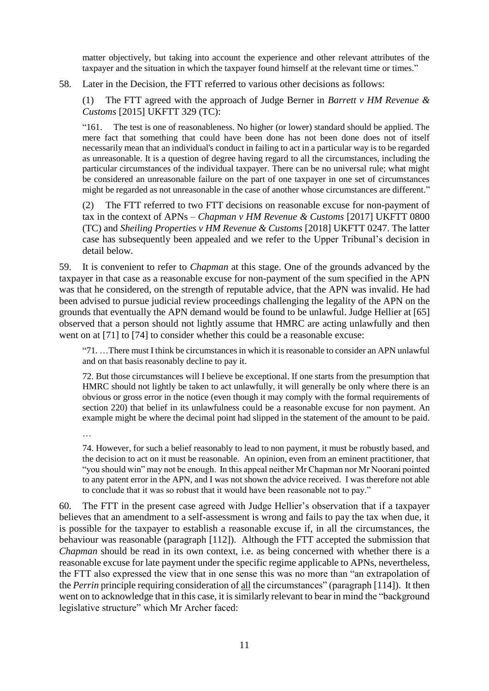matter objectively, but taking into account the experience and other relevant attributes of the taxpayer and the situation in which the taxpayer found himself at the relevant time or times."

58. Later in the Decision, the FTT referred to various other decisions as follows:

(1) The FTT agreed with the approach of Judge Berner in *Barrett v HM Revenue & Customs* [2015] UKFTT 329 (TC):

"161. The test is one of reasonableness. No higher (or lower) standard should be applied. The mere fact that something that could have been done has not been done does not of itself necessarily mean that an individual's conduct in failing to act in a particular way is to be regarded as unreasonable. It is a question of degree having regard to all the circumstances, including the particular circumstances of the individual taxpayer. There can be no universal rule; what might be considered an unreasonable failure on the part of one taxpayer in one set of circumstances might be regarded as not unreasonable in the case of another whose circumstances are different."

(2) The FTT referred to two FTT decisions on reasonable excuse for non-payment of tax in the context of APNs – *Chapman v HM Revenue & Customs* [2017] UKFTT 0800 (TC) and *Sheiling Properties v HM Revenue & Customs* [2018] UKFTT 0247. The latter case has subsequently been appealed and we refer to the Upper Tribunal's decision in detail below.

59. It is convenient to refer to *Chapman* at this stage. One of the grounds advanced by the taxpayer in that case as a reasonable excuse for non-payment of the sum specified in the APN was that he considered, on the strength of reputable advice, that the APN was invalid. He had been advised to pursue judicial review proceedings challenging the legality of the APN on the grounds that eventually the APN demand would be found to be unlawful. Judge Hellier at [65] observed that a person should not lightly assume that HMRC are acting unlawfully and then went on at [71] to [74] to consider whether this could be a reasonable excuse:

"71. …There must I think be circumstances in which it is reasonable to consider an APN unlawful and on that basis reasonably decline to pay it.

72. But those circumstances will I believe be exceptional. If one starts from the presumption that HMRC should not lightly be taken to act unlawfully, it will generally be only where there is an obvious or gross error in the notice (even though it may comply with the formal requirements of section 220) that belief in its unlawfulness could be a reasonable excuse for non payment. An example might be where the decimal point had slipped in the statement of the amount to be paid.

…

74. However, for such a belief reasonably to lead to non payment, it must be robustly based, and the decision to act on it must be reasonable. An opinion, even from an eminent practitioner, that "you should win" may not be enough. In this appeal neither Mr Chapman nor Mr Noorani pointed to any patent error in the APN, and I was not shown the advice received. I was therefore not able to conclude that it was so robust that it would have been reasonable not to pay."

60. The FTT in the present case agreed with Judge Hellier's observation that if a taxpayer believes that an amendment to a self-assessment is wrong and fails to pay the tax when due, it is possible for the taxpayer to establish a reasonable excuse if, in all the circumstances, the behaviour was reasonable (paragraph [112]). Although the FTT accepted the submission that *Chapman* should be read in its own context, i.e. as being concerned with whether there is a reasonable excuse for late payment under the specific regime applicable to APNs, nevertheless, the FTT also expressed the view that in one sense this was no more than "an extrapolation of the *Perrin* principle requiring consideration of all the circumstances" (paragraph [114]). It then went on to acknowledge that in this case, it is similarly relevant to bear in mind the "background legislative structure" which Mr Archer faced: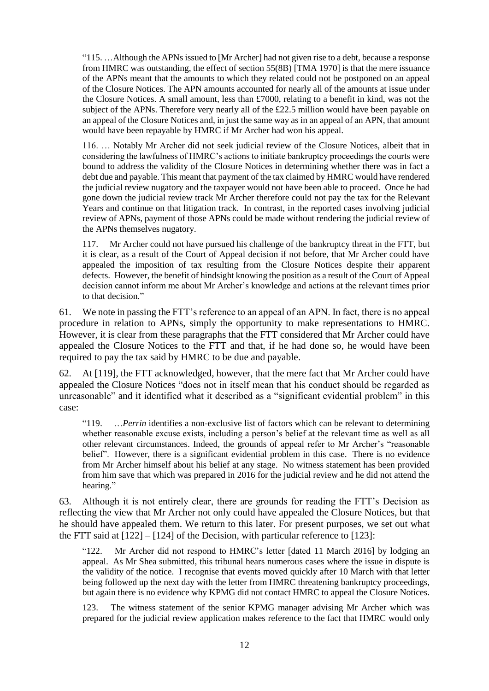"115. …Although the APNs issued to [Mr Archer] had not given rise to a debt, because a response from HMRC was outstanding, the effect of section 55(8B) [TMA 1970] is that the mere issuance of the APNs meant that the amounts to which they related could not be postponed on an appeal of the Closure Notices. The APN amounts accounted for nearly all of the amounts at issue under the Closure Notices. A small amount, less than  $\text{\pounds}7000$ , relating to a benefit in kind, was not the subject of the APNs. Therefore very nearly all of the £22.5 million would have been payable on an appeal of the Closure Notices and, in just the same way as in an appeal of an APN, that amount would have been repayable by HMRC if Mr Archer had won his appeal.

116. … Notably Mr Archer did not seek judicial review of the Closure Notices, albeit that in considering the lawfulness of HMRC's actions to initiate bankruptcy proceedings the courts were bound to address the validity of the Closure Notices in determining whether there was in fact a debt due and payable. This meant that payment of the tax claimed by HMRC would have rendered the judicial review nugatory and the taxpayer would not have been able to proceed. Once he had gone down the judicial review track Mr Archer therefore could not pay the tax for the Relevant Years and continue on that litigation track. In contrast, in the reported cases involving judicial review of APNs, payment of those APNs could be made without rendering the judicial review of the APNs themselves nugatory.

117. Mr Archer could not have pursued his challenge of the bankruptcy threat in the FTT, but it is clear, as a result of the Court of Appeal decision if not before, that Mr Archer could have appealed the imposition of tax resulting from the Closure Notices despite their apparent defects. However, the benefit of hindsight knowing the position as a result of the Court of Appeal decision cannot inform me about Mr Archer's knowledge and actions at the relevant times prior to that decision."

61. We note in passing the FTT's reference to an appeal of an APN. In fact, there is no appeal procedure in relation to APNs, simply the opportunity to make representations to HMRC. However, it is clear from these paragraphs that the FTT considered that Mr Archer could have appealed the Closure Notices to the FTT and that, if he had done so, he would have been required to pay the tax said by HMRC to be due and payable.

62. At [119], the FTT acknowledged, however, that the mere fact that Mr Archer could have appealed the Closure Notices "does not in itself mean that his conduct should be regarded as unreasonable" and it identified what it described as a "significant evidential problem" in this case:

"119. …*Perrin* identifies a non-exclusive list of factors which can be relevant to determining whether reasonable excuse exists, including a person's belief at the relevant time as well as all other relevant circumstances. Indeed, the grounds of appeal refer to Mr Archer's "reasonable belief". However, there is a significant evidential problem in this case. There is no evidence from Mr Archer himself about his belief at any stage. No witness statement has been provided from him save that which was prepared in 2016 for the judicial review and he did not attend the hearing."

63. Although it is not entirely clear, there are grounds for reading the FTT's Decision as reflecting the view that Mr Archer not only could have appealed the Closure Notices, but that he should have appealed them. We return to this later. For present purposes, we set out what the FTT said at  $[122] - [124]$  of the Decision, with particular reference to  $[123]$ :

"122. Mr Archer did not respond to HMRC's letter [dated 11 March 2016] by lodging an appeal. As Mr Shea submitted, this tribunal hears numerous cases where the issue in dispute is the validity of the notice. I recognise that events moved quickly after 10 March with that letter being followed up the next day with the letter from HMRC threatening bankruptcy proceedings, but again there is no evidence why KPMG did not contact HMRC to appeal the Closure Notices.

123. The witness statement of the senior KPMG manager advising Mr Archer which was prepared for the judicial review application makes reference to the fact that HMRC would only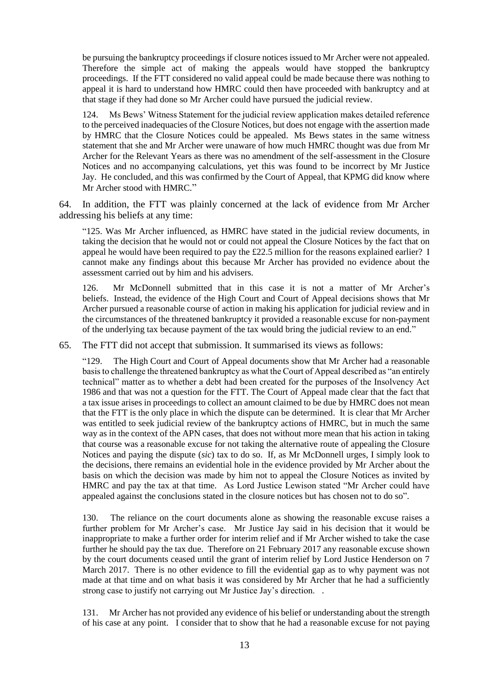be pursuing the bankruptcy proceedings if closure notices issued to Mr Archer were not appealed. Therefore the simple act of making the appeals would have stopped the bankruptcy proceedings. If the FTT considered no valid appeal could be made because there was nothing to appeal it is hard to understand how HMRC could then have proceeded with bankruptcy and at that stage if they had done so Mr Archer could have pursued the judicial review.

124. Ms Bews' Witness Statement for the judicial review application makes detailed reference to the perceived inadequacies of the Closure Notices, but does not engage with the assertion made by HMRC that the Closure Notices could be appealed. Ms Bews states in the same witness statement that she and Mr Archer were unaware of how much HMRC thought was due from Mr Archer for the Relevant Years as there was no amendment of the self-assessment in the Closure Notices and no accompanying calculations, yet this was found to be incorrect by Mr Justice Jay. He concluded, and this was confirmed by the Court of Appeal, that KPMG did know where Mr Archer stood with HMRC."

64. In addition, the FTT was plainly concerned at the lack of evidence from Mr Archer addressing his beliefs at any time:

"125. Was Mr Archer influenced, as HMRC have stated in the judicial review documents, in taking the decision that he would not or could not appeal the Closure Notices by the fact that on appeal he would have been required to pay the £22.5 million for the reasons explained earlier? I cannot make any findings about this because Mr Archer has provided no evidence about the assessment carried out by him and his advisers.

126. Mr McDonnell submitted that in this case it is not a matter of Mr Archer's beliefs. Instead, the evidence of the High Court and Court of Appeal decisions shows that Mr Archer pursued a reasonable course of action in making his application for judicial review and in the circumstances of the threatened bankruptcy it provided a reasonable excuse for non-payment of the underlying tax because payment of the tax would bring the judicial review to an end."

65. The FTT did not accept that submission. It summarised its views as follows:

"129. The High Court and Court of Appeal documents show that Mr Archer had a reasonable basis to challenge the threatened bankruptcy as what the Court of Appeal described as "an entirely technical" matter as to whether a debt had been created for the purposes of the Insolvency Act 1986 and that was not a question for the FTT. The Court of Appeal made clear that the fact that a tax issue arises in proceedings to collect an amount claimed to be due by HMRC does not mean that the FTT is the only place in which the dispute can be determined. It is clear that Mr Archer was entitled to seek judicial review of the bankruptcy actions of HMRC, but in much the same way as in the context of the APN cases, that does not without more mean that his action in taking that course was a reasonable excuse for not taking the alternative route of appealing the Closure Notices and paying the dispute (*sic*) tax to do so. If, as Mr McDonnell urges, I simply look to the decisions, there remains an evidential hole in the evidence provided by Mr Archer about the basis on which the decision was made by him not to appeal the Closure Notices as invited by HMRC and pay the tax at that time. As Lord Justice Lewison stated "Mr Archer could have appealed against the conclusions stated in the closure notices but has chosen not to do so".

130. The reliance on the court documents alone as showing the reasonable excuse raises a further problem for Mr Archer's case. Mr Justice Jay said in his decision that it would be inappropriate to make a further order for interim relief and if Mr Archer wished to take the case further he should pay the tax due. Therefore on 21 February 2017 any reasonable excuse shown by the court documents ceased until the grant of interim relief by Lord Justice Henderson on 7 March 2017. There is no other evidence to fill the evidential gap as to why payment was not made at that time and on what basis it was considered by Mr Archer that he had a sufficiently strong case to justify not carrying out Mr Justice Jay's direction. .

131. Mr Archer has not provided any evidence of his belief or understanding about the strength of his case at any point. I consider that to show that he had a reasonable excuse for not paying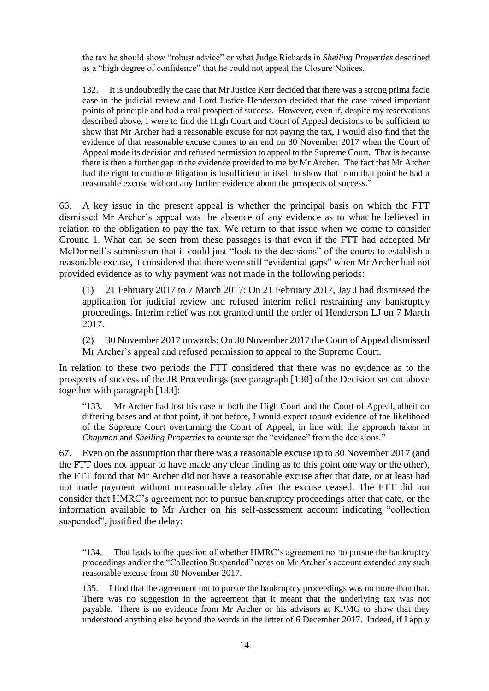the tax he should show "robust advice" or what Judge Richards in *Sheiling Properties* described as a "high degree of confidence" that he could not appeal the Closure Notices.

132. It is undoubtedly the case that Mr Justice Kerr decided that there was a strong prima facie case in the judicial review and Lord Justice Henderson decided that the case raised important points of principle and had a real prospect of success. However, even if, despite my reservations described above, I were to find the High Court and Court of Appeal decisions to be sufficient to show that Mr Archer had a reasonable excuse for not paying the tax, I would also find that the evidence of that reasonable excuse comes to an end on 30 November 2017 when the Court of Appeal made its decision and refused permission to appeal to the Supreme Court. That is because there is then a further gap in the evidence provided to me by Mr Archer. The fact that Mr Archer had the right to continue litigation is insufficient in itself to show that from that point he had a reasonable excuse without any further evidence about the prospects of success."

66. A key issue in the present appeal is whether the principal basis on which the FTT dismissed Mr Archer's appeal was the absence of any evidence as to what he believed in relation to the obligation to pay the tax. We return to that issue when we come to consider Ground 1. What can be seen from these passages is that even if the FTT had accepted Mr McDonnell's submission that it could just "look to the decisions" of the courts to establish a reasonable excuse, it considered that there were still "evidential gaps" when Mr Archer had not provided evidence as to why payment was not made in the following periods:

(1) 21 February 2017 to 7 March 2017: On 21 February 2017, Jay J had dismissed the application for judicial review and refused interim relief restraining any bankruptcy proceedings. Interim relief was not granted until the order of Henderson LJ on 7 March 2017.

(2) 30 November 2017 onwards: On 30 November 2017 the Court of Appeal dismissed Mr Archer's appeal and refused permission to appeal to the Supreme Court.

In relation to these two periods the FTT considered that there was no evidence as to the prospects of success of the JR Proceedings (see paragraph [130] of the Decision set out above together with paragraph [133]:

"133. Mr Archer had lost his case in both the High Court and the Court of Appeal, albeit on differing bases and at that point, if not before, I would expect robust evidence of the likelihood of the Supreme Court overturning the Court of Appeal, in line with the approach taken in *Chapman* and *Sheiling Properties* to counteract the "evidence" from the decisions."

67. Even on the assumption that there was a reasonable excuse up to 30 November 2017 (and the FTT does not appear to have made any clear finding as to this point one way or the other), the FTT found that Mr Archer did not have a reasonable excuse after that date, or at least had not made payment without unreasonable delay after the excuse ceased. The FTT did not consider that HMRC's agreement not to pursue bankruptcy proceedings after that date, or the information available to Mr Archer on his self-assessment account indicating "collection suspended", justified the delay:

"134. That leads to the question of whether HMRC's agreement not to pursue the bankruptcy proceedings and/or the "Collection Suspended" notes on Mr Archer's account extended any such reasonable excuse from 30 November 2017.

135. I find that the agreement not to pursue the bankruptcy proceedings was no more than that. There was no suggestion in the agreement that it meant that the underlying tax was not payable. There is no evidence from Mr Archer or his advisors at KPMG to show that they understood anything else beyond the words in the letter of 6 December 2017. Indeed, if I apply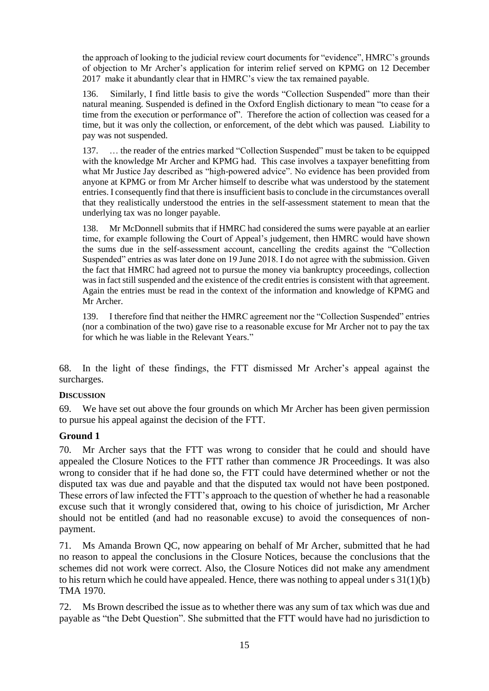the approach of looking to the judicial review court documents for "evidence", HMRC's grounds of objection to Mr Archer's application for interim relief served on KPMG on 12 December 2017 make it abundantly clear that in HMRC's view the tax remained payable.

136. Similarly, I find little basis to give the words "Collection Suspended" more than their natural meaning. Suspended is defined in the Oxford English dictionary to mean "to cease for a time from the execution or performance of". Therefore the action of collection was ceased for a time, but it was only the collection, or enforcement, of the debt which was paused. Liability to pay was not suspended.

137. … the reader of the entries marked "Collection Suspended" must be taken to be equipped with the knowledge Mr Archer and KPMG had. This case involves a taxpayer benefitting from what Mr Justice Jay described as "high-powered advice". No evidence has been provided from anyone at KPMG or from Mr Archer himself to describe what was understood by the statement entries. I consequently find that there is insufficient basis to conclude in the circumstances overall that they realistically understood the entries in the self-assessment statement to mean that the underlying tax was no longer payable.

138. Mr McDonnell submits that if HMRC had considered the sums were payable at an earlier time, for example following the Court of Appeal's judgement, then HMRC would have shown the sums due in the self-assessment account, cancelling the credits against the "Collection Suspended" entries as was later done on 19 June 2018. I do not agree with the submission. Given the fact that HMRC had agreed not to pursue the money via bankruptcy proceedings, collection was in fact still suspended and the existence of the credit entries is consistent with that agreement. Again the entries must be read in the context of the information and knowledge of KPMG and Mr Archer.

139. I therefore find that neither the HMRC agreement nor the "Collection Suspended" entries (nor a combination of the two) gave rise to a reasonable excuse for Mr Archer not to pay the tax for which he was liable in the Relevant Years."

68. In the light of these findings, the FTT dismissed Mr Archer's appeal against the surcharges.

### **DISCUSSION**

69. We have set out above the four grounds on which Mr Archer has been given permission to pursue his appeal against the decision of the FTT.

### **Ground 1**

70. Mr Archer says that the FTT was wrong to consider that he could and should have appealed the Closure Notices to the FTT rather than commence JR Proceedings. It was also wrong to consider that if he had done so, the FTT could have determined whether or not the disputed tax was due and payable and that the disputed tax would not have been postponed. These errors of law infected the FTT's approach to the question of whether he had a reasonable excuse such that it wrongly considered that, owing to his choice of jurisdiction, Mr Archer should not be entitled (and had no reasonable excuse) to avoid the consequences of nonpayment.

71. Ms Amanda Brown QC, now appearing on behalf of Mr Archer, submitted that he had no reason to appeal the conclusions in the Closure Notices, because the conclusions that the schemes did not work were correct. Also, the Closure Notices did not make any amendment to his return which he could have appealed. Hence, there was nothing to appeal under s 31(1)(b) TMA 1970.

72. Ms Brown described the issue as to whether there was any sum of tax which was due and payable as "the Debt Question". She submitted that the FTT would have had no jurisdiction to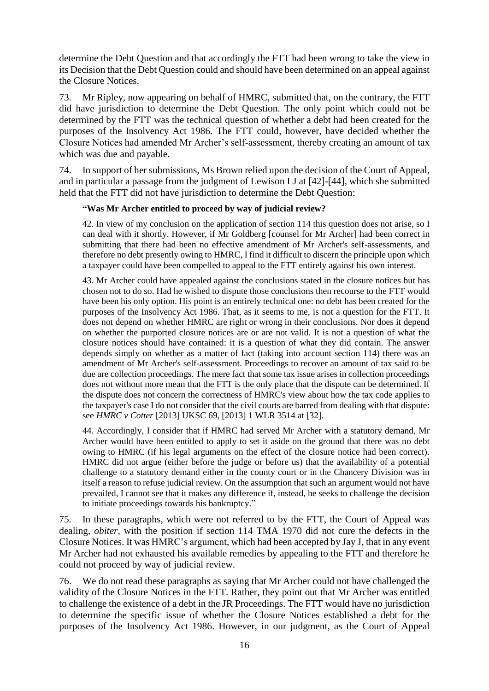determine the Debt Question and that accordingly the FTT had been wrong to take the view in its Decision that the Debt Question could and should have been determined on an appeal against the Closure Notices.

73. Mr Ripley, now appearing on behalf of HMRC, submitted that, on the contrary, the FTT did have jurisdiction to determine the Debt Question. The only point which could not be determined by the FTT was the technical question of whether a debt had been created for the purposes of the Insolvency Act 1986. The FTT could, however, have decided whether the Closure Notices had amended Mr Archer's self-assessment, thereby creating an amount of tax which was due and payable.

74. In support of her submissions, Ms Brown relied upon the decision of the Court of Appeal, and in particular a passage from the judgment of Lewison LJ at [42]-[44], which she submitted held that the FTT did not have jurisdiction to determine the Debt Question:

### **"Was Mr Archer entitled to proceed by way of judicial review?**

42. In view of my conclusion on the application of section 114 this question does not arise, so I can deal with it shortly. However, if Mr Goldberg [counsel for Mr Archer] had been correct in submitting that there had been no effective amendment of Mr Archer's self-assessments, and therefore no debt presently owing to HMRC, I find it difficult to discern the principle upon which a taxpayer could have been compelled to appeal to the FTT entirely against his own interest.

43. Mr Archer could have appealed against the conclusions stated in the closure notices but has chosen not to do so. Had he wished to dispute those conclusions then recourse to the FTT would have been his only option. His point is an entirely technical one: no debt has been created for the purposes of the Insolvency Act 1986. That, as it seems to me, is not a question for the FTT. It does not depend on whether HMRC are right or wrong in their conclusions. Nor does it depend on whether the purported closure notices are or are not valid. It is not a question of what the closure notices should have contained: it is a question of what they did contain. The answer depends simply on whether as a matter of fact (taking into account section 114) there was an amendment of Mr Archer's self-assessment. Proceedings to recover an amount of tax said to be due are collection proceedings. The mere fact that some tax issue arises in collection proceedings does not without more mean that the FTT is the only place that the dispute can be determined. If the dispute does not concern the correctness of HMRC's view about how the tax code applies to the taxpayer's case I do not consider that the civil courts are barred from dealing with that dispute: see *HMRC v Cotter* [2013] UKSC 69, [2013] 1 WLR 3514 at [32].

44. Accordingly, I consider that if HMRC had served Mr Archer with a statutory demand, Mr Archer would have been entitled to apply to set it aside on the ground that there was no debt owing to HMRC (if his legal arguments on the effect of the closure notice had been correct). HMRC did not argue (either before the judge or before us) that the availability of a potential challenge to a statutory demand either in the county court or in the Chancery Division was in itself a reason to refuse judicial review. On the assumption that such an argument would not have prevailed, I cannot see that it makes any difference if, instead, he seeks to challenge the decision to initiate proceedings towards his bankruptcy."

75. In these paragraphs, which were not referred to by the FTT, the Court of Appeal was dealing, *obiter*, with the position if section 114 TMA 1970 did not cure the defects in the Closure Notices. It was HMRC's argument, which had been accepted by Jay J, that in any event Mr Archer had not exhausted his available remedies by appealing to the FTT and therefore he could not proceed by way of judicial review.

76. We do not read these paragraphs as saying that Mr Archer could not have challenged the validity of the Closure Notices in the FTT. Rather, they point out that Mr Archer was entitled to challenge the existence of a debt in the JR Proceedings. The FTT would have no jurisdiction to determine the specific issue of whether the Closure Notices established a debt for the purposes of the Insolvency Act 1986. However, in our judgment, as the Court of Appeal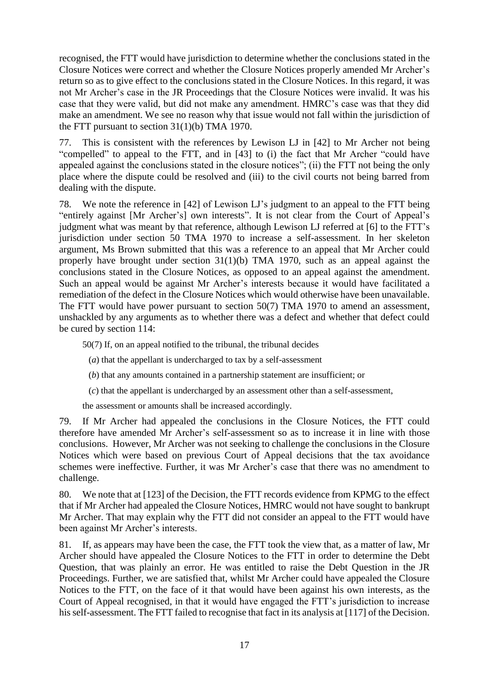recognised, the FTT would have jurisdiction to determine whether the conclusions stated in the Closure Notices were correct and whether the Closure Notices properly amended Mr Archer's return so as to give effect to the conclusions stated in the Closure Notices. In this regard, it was not Mr Archer's case in the JR Proceedings that the Closure Notices were invalid. It was his case that they were valid, but did not make any amendment. HMRC's case was that they did make an amendment. We see no reason why that issue would not fall within the jurisdiction of the FTT pursuant to section 31(1)(b) TMA 1970.

77. This is consistent with the references by Lewison LJ in [42] to Mr Archer not being "compelled" to appeal to the FTT, and in [43] to (i) the fact that Mr Archer "could have appealed against the conclusions stated in the closure notices"; (ii) the FTT not being the only place where the dispute could be resolved and (iii) to the civil courts not being barred from dealing with the dispute.

78. We note the reference in [42] of Lewison LJ's judgment to an appeal to the FTT being "entirely against [Mr Archer's] own interests". It is not clear from the Court of Appeal's judgment what was meant by that reference, although Lewison LJ referred at [6] to the FTT's jurisdiction under section 50 TMA 1970 to increase a self-assessment. In her skeleton argument, Ms Brown submitted that this was a reference to an appeal that Mr Archer could properly have brought under section 31(1)(b) TMA 1970, such as an appeal against the conclusions stated in the Closure Notices, as opposed to an appeal against the amendment. Such an appeal would be against Mr Archer's interests because it would have facilitated a remediation of the defect in the Closure Notices which would otherwise have been unavailable. The FTT would have power pursuant to section 50(7) TMA 1970 to amend an assessment, unshackled by any arguments as to whether there was a defect and whether that defect could be cured by section 114:

50(7) If, on an appeal notified to the tribunal, the tribunal decides

- (*a*) that the appellant is undercharged to tax by a self-assessment
- (*b*) that any amounts contained in a partnership statement are insufficient; or
- (*c*) that the appellant is undercharged by an assessment other than a self-assessment,

the assessment or amounts shall be increased accordingly.

79. If Mr Archer had appealed the conclusions in the Closure Notices, the FTT could therefore have amended Mr Archer's self-assessment so as to increase it in line with those conclusions. However, Mr Archer was not seeking to challenge the conclusions in the Closure Notices which were based on previous Court of Appeal decisions that the tax avoidance schemes were ineffective. Further, it was Mr Archer's case that there was no amendment to challenge.

80. We note that at [123] of the Decision, the FTT records evidence from KPMG to the effect that if Mr Archer had appealed the Closure Notices, HMRC would not have sought to bankrupt Mr Archer. That may explain why the FTT did not consider an appeal to the FTT would have been against Mr Archer's interests.

81. If, as appears may have been the case, the FTT took the view that, as a matter of law, Mr Archer should have appealed the Closure Notices to the FTT in order to determine the Debt Question, that was plainly an error. He was entitled to raise the Debt Question in the JR Proceedings. Further, we are satisfied that, whilst Mr Archer could have appealed the Closure Notices to the FTT, on the face of it that would have been against his own interests, as the Court of Appeal recognised, in that it would have engaged the FTT's jurisdiction to increase his self-assessment. The FTT failed to recognise that fact in its analysis at [117] of the Decision.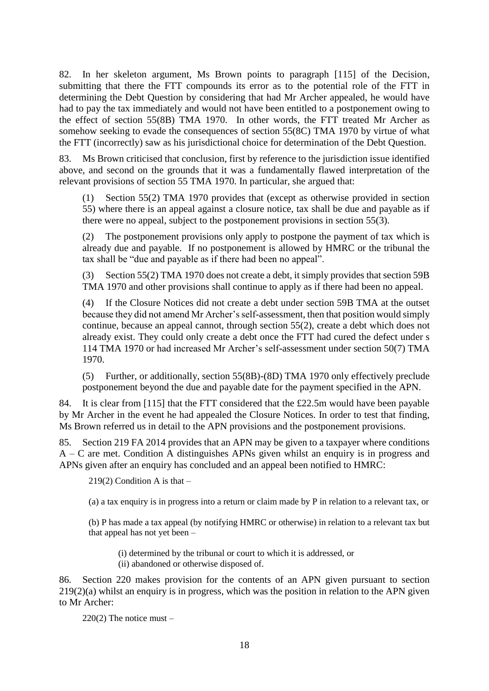82. In her skeleton argument, Ms Brown points to paragraph [115] of the Decision, submitting that there the FTT compounds its error as to the potential role of the FTT in determining the Debt Question by considering that had Mr Archer appealed, he would have had to pay the tax immediately and would not have been entitled to a postponement owing to the effect of section 55(8B) TMA 1970. In other words, the FTT treated Mr Archer as somehow seeking to evade the consequences of section 55(8C) TMA 1970 by virtue of what the FTT (incorrectly) saw as his jurisdictional choice for determination of the Debt Question.

Ms Brown criticised that conclusion, first by reference to the jurisdiction issue identified above, and second on the grounds that it was a fundamentally flawed interpretation of the relevant provisions of section 55 TMA 1970. In particular, she argued that:

(1) Section 55(2) TMA 1970 provides that (except as otherwise provided in section 55) where there is an appeal against a closure notice, tax shall be due and payable as if there were no appeal, subject to the postponement provisions in section 55(3).

(2) The postponement provisions only apply to postpone the payment of tax which is already due and payable. If no postponement is allowed by HMRC or the tribunal the tax shall be "due and payable as if there had been no appeal".

(3) Section 55(2) TMA 1970 does not create a debt, it simply provides that section 59B TMA 1970 and other provisions shall continue to apply as if there had been no appeal.

(4) If the Closure Notices did not create a debt under section 59B TMA at the outset because they did not amend Mr Archer's self-assessment, then that position would simply continue, because an appeal cannot, through section 55(2), create a debt which does not already exist. They could only create a debt once the FTT had cured the defect under s 114 TMA 1970 or had increased Mr Archer's self-assessment under section 50(7) TMA 1970.

(5) Further, or additionally, section 55(8B)-(8D) TMA 1970 only effectively preclude postponement beyond the due and payable date for the payment specified in the APN.

84. It is clear from [115] that the FTT considered that the £22.5m would have been payable by Mr Archer in the event he had appealed the Closure Notices. In order to test that finding, Ms Brown referred us in detail to the APN provisions and the postponement provisions.

85. Section 219 FA 2014 provides that an APN may be given to a taxpayer where conditions A – C are met. Condition A distinguishes APNs given whilst an enquiry is in progress and APNs given after an enquiry has concluded and an appeal been notified to HMRC:

219(2) Condition A is that  $-$ 

(a) a tax enquiry is in progress into a return or claim made by P in relation to a relevant tax, or

(b) P has made a tax appeal (by notifying HMRC or otherwise) in relation to a relevant tax but that appeal has not yet been –

(i) determined by the tribunal or court to which it is addressed, or

(ii) abandoned or otherwise disposed of.

86. Section 220 makes provision for the contents of an APN given pursuant to section 219(2)(a) whilst an enquiry is in progress, which was the position in relation to the APN given to Mr Archer:

 $220(2)$  The notice must –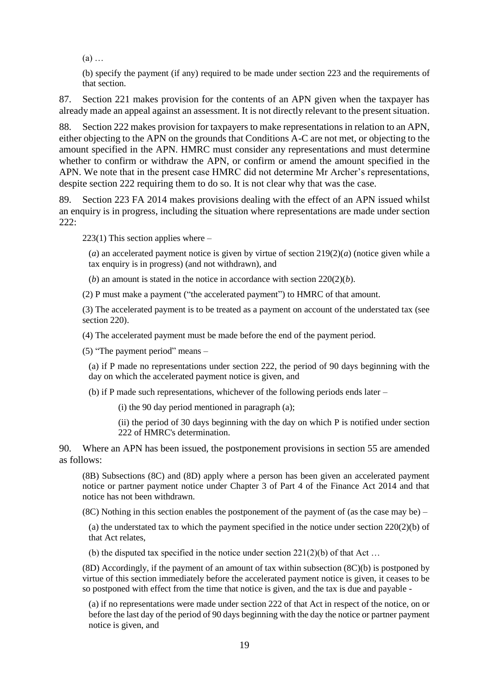(a) …

(b) specify the payment (if any) required to be made under section 223 and the requirements of that section.

87. Section 221 makes provision for the contents of an APN given when the taxpayer has already made an appeal against an assessment. It is not directly relevant to the present situation.

88. Section 222 makes provision for taxpayers to make representations in relation to an APN, either objecting to the APN on the grounds that Conditions A-C are not met, or objecting to the amount specified in the APN. HMRC must consider any representations and must determine whether to confirm or withdraw the APN, or confirm or amend the amount specified in the APN. We note that in the present case HMRC did not determine Mr Archer's representations, despite section 222 requiring them to do so. It is not clear why that was the case.

89. Section 223 FA 2014 makes provisions dealing with the effect of an APN issued whilst an enquiry is in progress, including the situation where representations are made under section  $222:$ 

 $223(1)$  This section applies where –

(*a*) an accelerated payment notice is given by virtue of section 219(2)(*a*) (notice given while a tax enquiry is in progress) (and not withdrawn), and

(*b*) an amount is stated in the notice in accordance with section  $220(2)(b)$ .

(2) P must make a payment ("the accelerated payment") to HMRC of that amount.

(3) The accelerated payment is to be treated as a payment on account of the understated tax (see section 220).

(4) The accelerated payment must be made before the end of the payment period.

(5) "The payment period" means –

(a) if P made no representations under section 222, the period of 90 days beginning with the day on which the accelerated payment notice is given, and

(b) if P made such representations, whichever of the following periods ends later –

(i) the 90 day period mentioned in paragraph (a);

(ii) the period of 30 days beginning with the day on which P is notified under section 222 of HMRC's determination.

90. Where an APN has been issued, the postponement provisions in section 55 are amended as follows:

(8B) Subsections (8C) and (8D) apply where a person has been given an accelerated payment notice or partner payment notice under Chapter 3 of Part 4 of the Finance Act 2014 and that notice has not been withdrawn.

 $(8C)$  Nothing in this section enables the postponement of the payment of (as the case may be) –

(a) the understated tax to which the payment specified in the notice under section 220(2)(b) of that Act relates,

(b) the disputed tax specified in the notice under section  $221(2)(b)$  of that Act ...

(8D) Accordingly, if the payment of an amount of tax within subsection (8C)(b) is postponed by virtue of this section immediately before the accelerated payment notice is given, it ceases to be so postponed with effect from the time that notice is given, and the tax is due and payable -

(a) if no representations were made under section 222 of that Act in respect of the notice, on or before the last day of the period of 90 days beginning with the day the notice or partner payment notice is given, and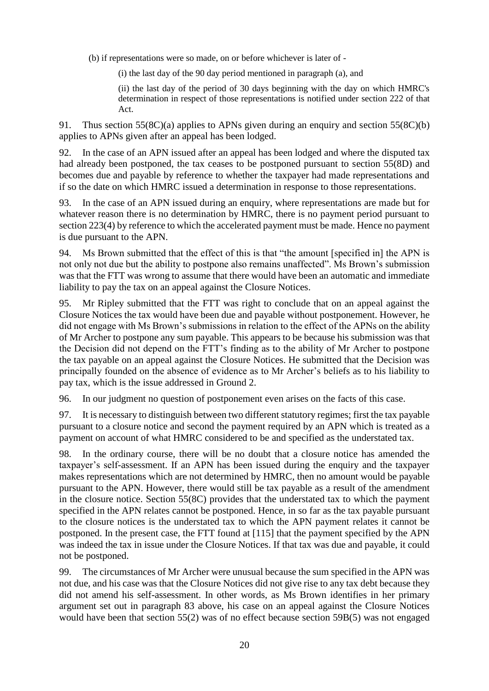(b) if representations were so made, on or before whichever is later of -

(i) the last day of the 90 day period mentioned in paragraph (a), and

(ii) the last day of the period of 30 days beginning with the day on which HMRC's determination in respect of those representations is notified under section 222 of that Act.

91. Thus section 55(8C)(a) applies to APNs given during an enquiry and section 55(8C)(b) applies to APNs given after an appeal has been lodged.

92. In the case of an APN issued after an appeal has been lodged and where the disputed tax had already been postponed, the tax ceases to be postponed pursuant to section 55(8D) and becomes due and payable by reference to whether the taxpayer had made representations and if so the date on which HMRC issued a determination in response to those representations.

93. In the case of an APN issued during an enquiry, where representations are made but for whatever reason there is no determination by HMRC, there is no payment period pursuant to section 223(4) by reference to which the accelerated payment must be made. Hence no payment is due pursuant to the APN.

94. Ms Brown submitted that the effect of this is that "the amount [specified in] the APN is not only not due but the ability to postpone also remains unaffected". Ms Brown's submission was that the FTT was wrong to assume that there would have been an automatic and immediate liability to pay the tax on an appeal against the Closure Notices.

95. Mr Ripley submitted that the FTT was right to conclude that on an appeal against the Closure Notices the tax would have been due and payable without postponement. However, he did not engage with Ms Brown's submissions in relation to the effect of the APNs on the ability of Mr Archer to postpone any sum payable. This appears to be because his submission was that the Decision did not depend on the FTT's finding as to the ability of Mr Archer to postpone the tax payable on an appeal against the Closure Notices. He submitted that the Decision was principally founded on the absence of evidence as to Mr Archer's beliefs as to his liability to pay tax, which is the issue addressed in Ground 2.

96. In our judgment no question of postponement even arises on the facts of this case.

97. It is necessary to distinguish between two different statutory regimes; first the tax payable pursuant to a closure notice and second the payment required by an APN which is treated as a payment on account of what HMRC considered to be and specified as the understated tax.

98. In the ordinary course, there will be no doubt that a closure notice has amended the taxpayer's self-assessment. If an APN has been issued during the enquiry and the taxpayer makes representations which are not determined by HMRC, then no amount would be payable pursuant to the APN. However, there would still be tax payable as a result of the amendment in the closure notice. Section 55(8C) provides that the understated tax to which the payment specified in the APN relates cannot be postponed. Hence, in so far as the tax payable pursuant to the closure notices is the understated tax to which the APN payment relates it cannot be postponed. In the present case, the FTT found at [115] that the payment specified by the APN was indeed the tax in issue under the Closure Notices. If that tax was due and payable, it could not be postponed.

99. The circumstances of Mr Archer were unusual because the sum specified in the APN was not due, and his case was that the Closure Notices did not give rise to any tax debt because they did not amend his self-assessment. In other words, as Ms Brown identifies in her primary argument set out in paragraph 83 above, his case on an appeal against the Closure Notices would have been that section 55(2) was of no effect because section 59B(5) was not engaged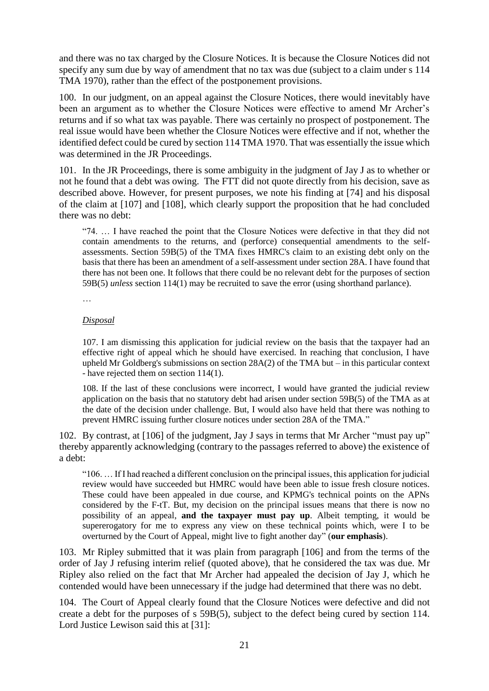and there was no tax charged by the Closure Notices. It is because the Closure Notices did not specify any sum due by way of amendment that no tax was due (subject to a claim under s 114 TMA 1970), rather than the effect of the postponement provisions.

100. In our judgment, on an appeal against the Closure Notices, there would inevitably have been an argument as to whether the Closure Notices were effective to amend Mr Archer's returns and if so what tax was payable. There was certainly no prospect of postponement. The real issue would have been whether the Closure Notices were effective and if not, whether the identified defect could be cured by section 114 TMA 1970. That was essentially the issue which was determined in the JR Proceedings.

101. In the JR Proceedings, there is some ambiguity in the judgment of Jay J as to whether or not he found that a debt was owing. The FTT did not quote directly from his decision, save as described above. However, for present purposes, we note his finding at [74] and his disposal of the claim at [107] and [108], which clearly support the proposition that he had concluded there was no debt:

"74. … I have reached the point that the Closure Notices were defective in that they did not contain amendments to the returns, and (perforce) consequential amendments to the selfassessments. Section 59B(5) of the TMA fixes HMRC's claim to an existing debt only on the basis that there has been an amendment of a self-assessment under section 28A. I have found that there has not been one. It follows that there could be no relevant debt for the purposes of section 59B(5) *unless* section 114(1) may be recruited to save the error (using shorthand parlance).

…

### *Disposal*

107. I am dismissing this application for judicial review on the basis that the taxpayer had an effective right of appeal which he should have exercised. In reaching that conclusion, I have upheld Mr Goldberg's submissions on section 28A(2) of the TMA but – in this particular context - have rejected them on section 114(1).

108. If the last of these conclusions were incorrect, I would have granted the judicial review application on the basis that no statutory debt had arisen under section 59B(5) of the TMA as at the date of the decision under challenge. But, I would also have held that there was nothing to prevent HMRC issuing further closure notices under section 28A of the TMA."

102. By contrast, at [106] of the judgment, Jay J says in terms that Mr Archer "must pay up" thereby apparently acknowledging (contrary to the passages referred to above) the existence of a debt:

"106. … If I had reached a different conclusion on the principal issues, this application for judicial review would have succeeded but HMRC would have been able to issue fresh closure notices. These could have been appealed in due course, and KPMG's technical points on the APNs considered by the F-tT. But, my decision on the principal issues means that there is now no possibility of an appeal, **and the taxpayer must pay up**. Albeit tempting, it would be supererogatory for me to express any view on these technical points which, were I to be overturned by the Court of Appeal, might live to fight another day" (**our emphasis**).

103. Mr Ripley submitted that it was plain from paragraph [106] and from the terms of the order of Jay J refusing interim relief (quoted above), that he considered the tax was due. Mr Ripley also relied on the fact that Mr Archer had appealed the decision of Jay J, which he contended would have been unnecessary if the judge had determined that there was no debt.

104. The Court of Appeal clearly found that the Closure Notices were defective and did not create a debt for the purposes of s 59B(5), subject to the defect being cured by section 114. Lord Justice Lewison said this at [31]: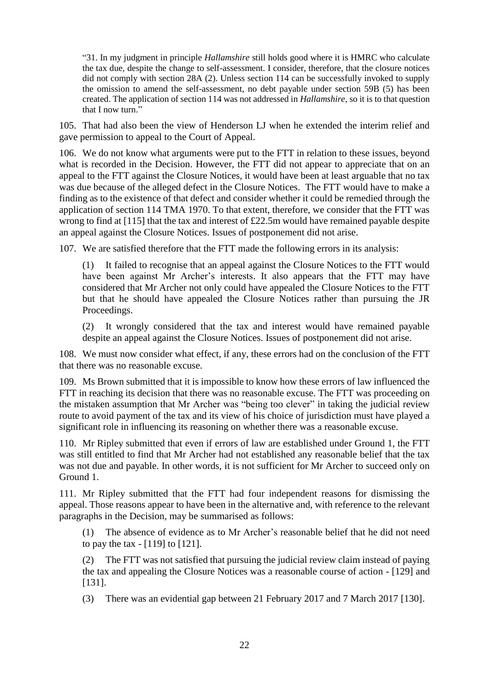"31. In my judgment in principle *Hallamshire* still holds good where it is HMRC who calculate the tax due, despite the change to self-assessment. I consider, therefore, that the closure notices did not comply with section 28A (2). Unless section 114 can be successfully invoked to supply the omission to amend the self-assessment, no debt payable under section 59B (5) has been created. The application of section 114 was not addressed in *Hallamshire*, so it is to that question that I now turn."

105. That had also been the view of Henderson LJ when he extended the interim relief and gave permission to appeal to the Court of Appeal.

106. We do not know what arguments were put to the FTT in relation to these issues, beyond what is recorded in the Decision. However, the FTT did not appear to appreciate that on an appeal to the FTT against the Closure Notices, it would have been at least arguable that no tax was due because of the alleged defect in the Closure Notices. The FTT would have to make a finding as to the existence of that defect and consider whether it could be remedied through the application of section 114 TMA 1970. To that extent, therefore, we consider that the FTT was wrong to find at [115] that the tax and interest of £22.5m would have remained payable despite an appeal against the Closure Notices. Issues of postponement did not arise.

107. We are satisfied therefore that the FTT made the following errors in its analysis:

(1) It failed to recognise that an appeal against the Closure Notices to the FTT would have been against Mr Archer's interests. It also appears that the FTT may have considered that Mr Archer not only could have appealed the Closure Notices to the FTT but that he should have appealed the Closure Notices rather than pursuing the JR Proceedings.

(2) It wrongly considered that the tax and interest would have remained payable despite an appeal against the Closure Notices. Issues of postponement did not arise.

108. We must now consider what effect, if any, these errors had on the conclusion of the FTT that there was no reasonable excuse.

109. Ms Brown submitted that it is impossible to know how these errors of law influenced the FTT in reaching its decision that there was no reasonable excuse. The FTT was proceeding on the mistaken assumption that Mr Archer was "being too clever" in taking the judicial review route to avoid payment of the tax and its view of his choice of jurisdiction must have played a significant role in influencing its reasoning on whether there was a reasonable excuse.

110. Mr Ripley submitted that even if errors of law are established under Ground 1, the FTT was still entitled to find that Mr Archer had not established any reasonable belief that the tax was not due and payable. In other words, it is not sufficient for Mr Archer to succeed only on Ground 1.

111. Mr Ripley submitted that the FTT had four independent reasons for dismissing the appeal. Those reasons appear to have been in the alternative and, with reference to the relevant paragraphs in the Decision, may be summarised as follows:

(1) The absence of evidence as to Mr Archer's reasonable belief that he did not need to pay the tax - [119] to [121].

(2) The FTT was not satisfied that pursuing the judicial review claim instead of paying the tax and appealing the Closure Notices was a reasonable course of action - [129] and [131].

(3) There was an evidential gap between 21 February 2017 and 7 March 2017 [130].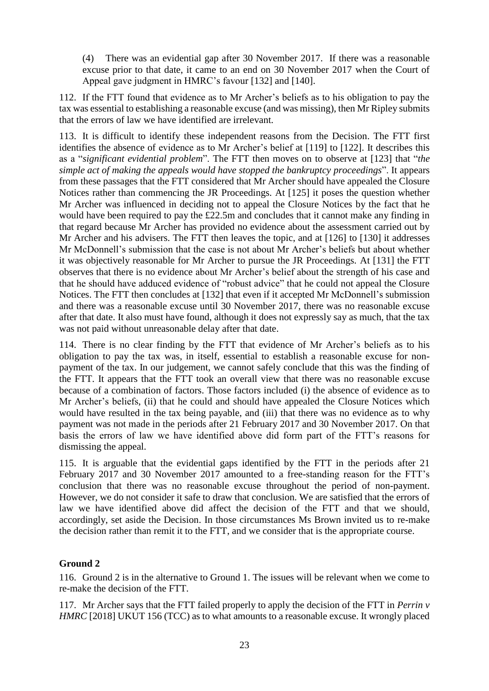(4) There was an evidential gap after 30 November 2017. If there was a reasonable excuse prior to that date, it came to an end on 30 November 2017 when the Court of Appeal gave judgment in HMRC's favour [132] and [140].

112. If the FTT found that evidence as to Mr Archer's beliefs as to his obligation to pay the tax was essential to establishing a reasonable excuse (and was missing), then Mr Ripley submits that the errors of law we have identified are irrelevant.

113. It is difficult to identify these independent reasons from the Decision. The FTT first identifies the absence of evidence as to Mr Archer's belief at [119] to [122]. It describes this as a "*significant evidential problem*". The FTT then moves on to observe at [123] that "*the simple act of making the appeals would have stopped the bankruptcy proceedings*". It appears from these passages that the FTT considered that Mr Archer should have appealed the Closure Notices rather than commencing the JR Proceedings. At [125] it poses the question whether Mr Archer was influenced in deciding not to appeal the Closure Notices by the fact that he would have been required to pay the £22.5m and concludes that it cannot make any finding in that regard because Mr Archer has provided no evidence about the assessment carried out by Mr Archer and his advisers. The FTT then leaves the topic, and at [126] to [130] it addresses Mr McDonnell's submission that the case is not about Mr Archer's beliefs but about whether it was objectively reasonable for Mr Archer to pursue the JR Proceedings. At [131] the FTT observes that there is no evidence about Mr Archer's belief about the strength of his case and that he should have adduced evidence of "robust advice" that he could not appeal the Closure Notices. The FTT then concludes at [132] that even if it accepted Mr McDonnell's submission and there was a reasonable excuse until 30 November 2017, there was no reasonable excuse after that date. It also must have found, although it does not expressly say as much, that the tax was not paid without unreasonable delay after that date.

114. There is no clear finding by the FTT that evidence of Mr Archer's beliefs as to his obligation to pay the tax was, in itself, essential to establish a reasonable excuse for nonpayment of the tax. In our judgement, we cannot safely conclude that this was the finding of the FTT. It appears that the FTT took an overall view that there was no reasonable excuse because of a combination of factors. Those factors included (i) the absence of evidence as to Mr Archer's beliefs, (ii) that he could and should have appealed the Closure Notices which would have resulted in the tax being payable, and (iii) that there was no evidence as to why payment was not made in the periods after 21 February 2017 and 30 November 2017. On that basis the errors of law we have identified above did form part of the FTT's reasons for dismissing the appeal.

115. It is arguable that the evidential gaps identified by the FTT in the periods after 21 February 2017 and 30 November 2017 amounted to a free-standing reason for the FTT's conclusion that there was no reasonable excuse throughout the period of non-payment. However, we do not consider it safe to draw that conclusion. We are satisfied that the errors of law we have identified above did affect the decision of the FTT and that we should, accordingly, set aside the Decision. In those circumstances Ms Brown invited us to re-make the decision rather than remit it to the FTT, and we consider that is the appropriate course.

### **Ground 2**

116. Ground 2 is in the alternative to Ground 1. The issues will be relevant when we come to re-make the decision of the FTT.

117. Mr Archer says that the FTT failed properly to apply the decision of the FTT in *Perrin v HMRC* [2018] UKUT 156 (TCC) as to what amounts to a reasonable excuse. It wrongly placed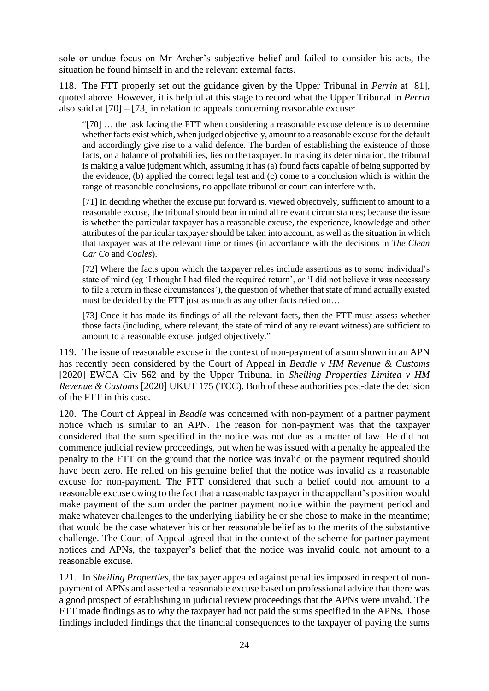sole or undue focus on Mr Archer's subjective belief and failed to consider his acts, the situation he found himself in and the relevant external facts.

118. The FTT properly set out the guidance given by the Upper Tribunal in *Perrin* at [81], quoted above. However, it is helpful at this stage to record what the Upper Tribunal in *Perrin* also said at [70] – [73] in relation to appeals concerning reasonable excuse:

"[70] … the task facing the FTT when considering a reasonable excuse defence is to determine whether facts exist which, when judged objectively, amount to a reasonable excuse for the default and accordingly give rise to a valid defence. The burden of establishing the existence of those facts, on a balance of probabilities, lies on the taxpayer. In making its determination, the tribunal is making a value judgment which, assuming it has (a) found facts capable of being supported by the evidence, (b) applied the correct legal test and (c) come to a conclusion which is within the range of reasonable conclusions, no appellate tribunal or court can interfere with.

[71] In deciding whether the excuse put forward is, viewed objectively, sufficient to amount to a reasonable excuse, the tribunal should bear in mind all relevant circumstances; because the issue is whether the particular taxpayer has a reasonable excuse, the experience, knowledge and other attributes of the particular taxpayer should be taken into account, as well as the situation in which that taxpayer was at the relevant time or times (in accordance with the decisions in *The Clean Car Co* and *Coales*).

[72] Where the facts upon which the taxpayer relies include assertions as to some individual's state of mind (eg 'I thought I had filed the required return', or 'I did not believe it was necessary to file a return in these circumstances'), the question of whether that state of mind actually existed must be decided by the FTT just as much as any other facts relied on…

[73] Once it has made its findings of all the relevant facts, then the FTT must assess whether those facts (including, where relevant, the state of mind of any relevant witness) are sufficient to amount to a reasonable excuse, judged objectively."

119. The issue of reasonable excuse in the context of non-payment of a sum shown in an APN has recently been considered by the Court of Appeal in *Beadle v HM Revenue & Customs*  [2020] EWCA Civ 562 and by the Upper Tribunal in *Sheiling Properties Limited v HM Revenue & Customs* [2020] UKUT 175 (TCC). Both of these authorities post-date the decision of the FTT in this case.

120. The Court of Appeal in *Beadle* was concerned with non-payment of a partner payment notice which is similar to an APN. The reason for non-payment was that the taxpayer considered that the sum specified in the notice was not due as a matter of law. He did not commence judicial review proceedings, but when he was issued with a penalty he appealed the penalty to the FTT on the ground that the notice was invalid or the payment required should have been zero. He relied on his genuine belief that the notice was invalid as a reasonable excuse for non-payment. The FTT considered that such a belief could not amount to a reasonable excuse owing to the fact that a reasonable taxpayer in the appellant's position would make payment of the sum under the partner payment notice within the payment period and make whatever challenges to the underlying liability he or she chose to make in the meantime; that would be the case whatever his or her reasonable belief as to the merits of the substantive challenge. The Court of Appeal agreed that in the context of the scheme for partner payment notices and APNs, the taxpayer's belief that the notice was invalid could not amount to a reasonable excuse.

121. In *Sheiling Properties*, the taxpayer appealed against penalties imposed in respect of nonpayment of APNs and asserted a reasonable excuse based on professional advice that there was a good prospect of establishing in judicial review proceedings that the APNs were invalid. The FTT made findings as to why the taxpayer had not paid the sums specified in the APNs. Those findings included findings that the financial consequences to the taxpayer of paying the sums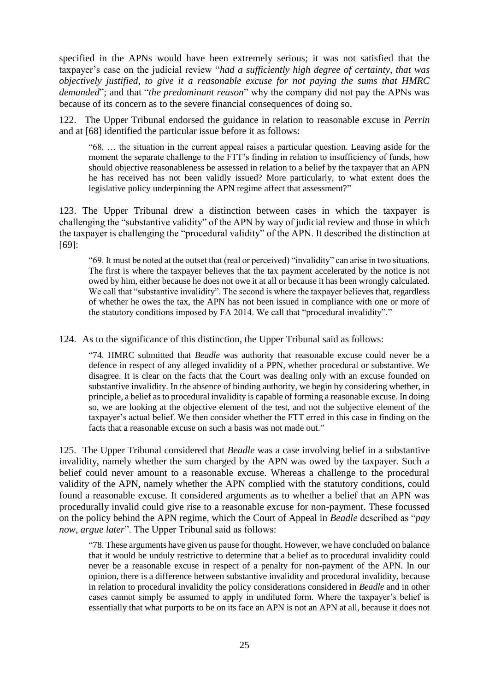specified in the APNs would have been extremely serious; it was not satisfied that the taxpayer's case on the judicial review "*had a sufficiently high degree of certainty, that was objectively justified, to give it a reasonable excuse for not paying the sums that HMRC demanded*"; and that "*the predominant reason*" why the company did not pay the APNs was because of its concern as to the severe financial consequences of doing so.

122. The Upper Tribunal endorsed the guidance in relation to reasonable excuse in *Perrin* and at [68] identified the particular issue before it as follows:

"68. … the situation in the current appeal raises a particular question. Leaving aside for the moment the separate challenge to the FTT's finding in relation to insufficiency of funds, how should objective reasonableness be assessed in relation to a belief by the taxpayer that an APN he has received has not been validly issued? More particularly, to what extent does the legislative policy underpinning the APN regime affect that assessment?"

123. The Upper Tribunal drew a distinction between cases in which the taxpayer is challenging the "substantive validity" of the APN by way of judicial review and those in which the taxpayer is challenging the "procedural validity" of the APN. It described the distinction at [69]:

"69. It must be noted at the outset that (real or perceived) "invalidity" can arise in two situations. The first is where the taxpayer believes that the tax payment accelerated by the notice is not owed by him, either because he does not owe it at all or because it has been wrongly calculated. We call that "substantive invalidity". The second is where the taxpayer believes that, regardless of whether he owes the tax, the APN has not been issued in compliance with one or more of the statutory conditions imposed by FA 2014. We call that "procedural invalidity"."

124. As to the significance of this distinction, the Upper Tribunal said as follows:

"74. HMRC submitted that *Beadle* was authority that reasonable excuse could never be a defence in respect of any alleged invalidity of a PPN, whether procedural or substantive. We disagree. It is clear on the facts that the Court was dealing only with an excuse founded on substantive invalidity. In the absence of binding authority, we begin by considering whether, in principle, a belief as to procedural invalidity is capable of forming a reasonable excuse. In doing so, we are looking at the objective element of the test, and not the subjective element of the taxpayer's actual belief. We then consider whether the FTT erred in this case in finding on the facts that a reasonable excuse on such a basis was not made out."

125. The Upper Tribunal considered that *Beadle* was a case involving belief in a substantive invalidity, namely whether the sum charged by the APN was owed by the taxpayer. Such a belief could never amount to a reasonable excuse. Whereas a challenge to the procedural validity of the APN, namely whether the APN complied with the statutory conditions, could found a reasonable excuse. It considered arguments as to whether a belief that an APN was procedurally invalid could give rise to a reasonable excuse for non-payment. These focussed on the policy behind the APN regime, which the Court of Appeal in *Beadle* described as "*pay now, argue later*". The Upper Tribunal said as follows:

"78. These arguments have given us pause for thought. However, we have concluded on balance that it would be unduly restrictive to determine that a belief as to procedural invalidity could never be a reasonable excuse in respect of a penalty for non-payment of the APN. In our opinion, there is a difference between substantive invalidity and procedural invalidity, because in relation to procedural invalidity the policy considerations considered in *Beadle* and in other cases cannot simply be assumed to apply in undiluted form. Where the taxpayer's belief is essentially that what purports to be on its face an APN is not an APN at all, because it does not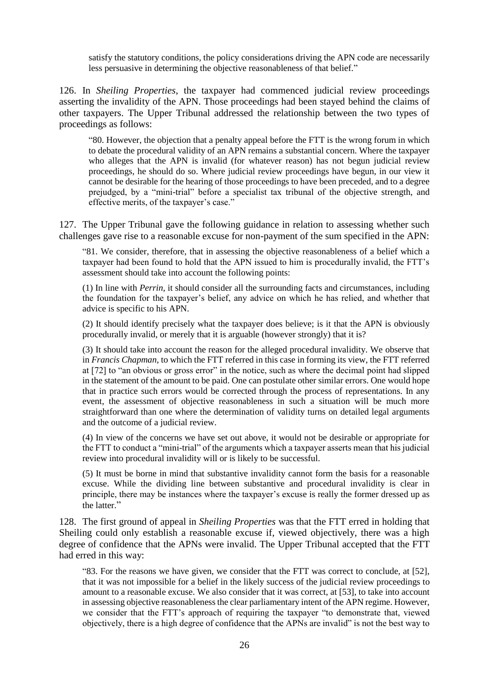satisfy the statutory conditions, the policy considerations driving the APN code are necessarily less persuasive in determining the objective reasonableness of that belief."

126. In *Sheiling Properties*, the taxpayer had commenced judicial review proceedings asserting the invalidity of the APN. Those proceedings had been stayed behind the claims of other taxpayers. The Upper Tribunal addressed the relationship between the two types of proceedings as follows:

"80. However, the objection that a penalty appeal before the FTT is the wrong forum in which to debate the procedural validity of an APN remains a substantial concern. Where the taxpayer who alleges that the APN is invalid (for whatever reason) has not begun judicial review proceedings, he should do so. Where judicial review proceedings have begun, in our view it cannot be desirable for the hearing of those proceedings to have been preceded, and to a degree prejudged, by a "mini-trial" before a specialist tax tribunal of the objective strength, and effective merits, of the taxpayer's case."

127. The Upper Tribunal gave the following guidance in relation to assessing whether such challenges gave rise to a reasonable excuse for non-payment of the sum specified in the APN:

"81. We consider, therefore, that in assessing the objective reasonableness of a belief which a taxpayer had been found to hold that the APN issued to him is procedurally invalid, the FTT's assessment should take into account the following points:

(1) In line with *Perrin*, it should consider all the surrounding facts and circumstances, including the foundation for the taxpayer's belief, any advice on which he has relied, and whether that advice is specific to his APN.

(2) It should identify precisely what the taxpayer does believe; is it that the APN is obviously procedurally invalid, or merely that it is arguable (however strongly) that it is?

(3) It should take into account the reason for the alleged procedural invalidity. We observe that in *Francis Chapman*, to which the FTT referred in this case in forming its view, the FTT referred at [72] to "an obvious or gross error" in the notice, such as where the decimal point had slipped in the statement of the amount to be paid. One can postulate other similar errors. One would hope that in practice such errors would be corrected through the process of representations. In any event, the assessment of objective reasonableness in such a situation will be much more straightforward than one where the determination of validity turns on detailed legal arguments and the outcome of a judicial review.

(4) In view of the concerns we have set out above, it would not be desirable or appropriate for the FTT to conduct a "mini-trial" of the arguments which a taxpayer asserts mean that his judicial review into procedural invalidity will or is likely to be successful.

(5) It must be borne in mind that substantive invalidity cannot form the basis for a reasonable excuse. While the dividing line between substantive and procedural invalidity is clear in principle, there may be instances where the taxpayer's excuse is really the former dressed up as the latter."

128. The first ground of appeal in *Sheiling Properties* was that the FTT erred in holding that Sheiling could only establish a reasonable excuse if, viewed objectively, there was a high degree of confidence that the APNs were invalid. The Upper Tribunal accepted that the FTT had erred in this way:

"83. For the reasons we have given, we consider that the FTT was correct to conclude, at [52], that it was not impossible for a belief in the likely success of the judicial review proceedings to amount to a reasonable excuse. We also consider that it was correct, at [53], to take into account in assessing objective reasonableness the clear parliamentary intent of the APN regime. However, we consider that the FTT's approach of requiring the taxpayer "to demonstrate that, viewed objectively, there is a high degree of confidence that the APNs are invalid" is not the best way to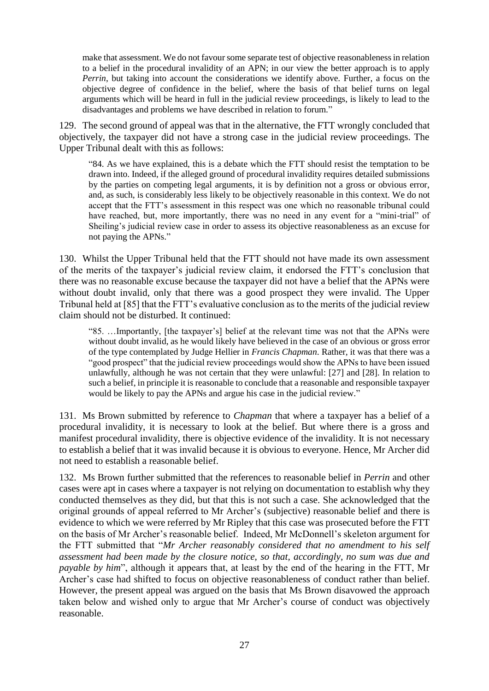make that assessment. We do not favour some separate test of objective reasonableness in relation to a belief in the procedural invalidity of an APN; in our view the better approach is to apply *Perrin*, but taking into account the considerations we identify above. Further, a focus on the objective degree of confidence in the belief, where the basis of that belief turns on legal arguments which will be heard in full in the judicial review proceedings, is likely to lead to the disadvantages and problems we have described in relation to forum."

129. The second ground of appeal was that in the alternative, the FTT wrongly concluded that objectively, the taxpayer did not have a strong case in the judicial review proceedings. The Upper Tribunal dealt with this as follows:

"84. As we have explained, this is a debate which the FTT should resist the temptation to be drawn into. Indeed, if the alleged ground of procedural invalidity requires detailed submissions by the parties on competing legal arguments, it is by definition not a gross or obvious error, and, as such, is considerably less likely to be objectively reasonable in this context. We do not accept that the FTT's assessment in this respect was one which no reasonable tribunal could have reached, but, more importantly, there was no need in any event for a "mini-trial" of Sheiling's judicial review case in order to assess its objective reasonableness as an excuse for not paying the APNs."

130. Whilst the Upper Tribunal held that the FTT should not have made its own assessment of the merits of the taxpayer's judicial review claim, it endorsed the FTT's conclusion that there was no reasonable excuse because the taxpayer did not have a belief that the APNs were without doubt invalid, only that there was a good prospect they were invalid. The Upper Tribunal held at [85] that the FTT's evaluative conclusion as to the merits of the judicial review claim should not be disturbed. It continued:

"85. …Importantly, [the taxpayer's] belief at the relevant time was not that the APNs were without doubt invalid, as he would likely have believed in the case of an obvious or gross error of the type contemplated by Judge Hellier in *Francis Chapman*. Rather, it was that there was a "good prospect" that the judicial review proceedings would show the APNs to have been issued unlawfully, although he was not certain that they were unlawful: [27] and [28]. In relation to such a belief, in principle it is reasonable to conclude that a reasonable and responsible taxpayer would be likely to pay the APNs and argue his case in the judicial review."

131. Ms Brown submitted by reference to *Chapman* that where a taxpayer has a belief of a procedural invalidity, it is necessary to look at the belief. But where there is a gross and manifest procedural invalidity, there is objective evidence of the invalidity. It is not necessary to establish a belief that it was invalid because it is obvious to everyone. Hence, Mr Archer did not need to establish a reasonable belief.

132. Ms Brown further submitted that the references to reasonable belief in *Perrin* and other cases were apt in cases where a taxpayer is not relying on documentation to establish why they conducted themselves as they did, but that this is not such a case. She acknowledged that the original grounds of appeal referred to Mr Archer's (subjective) reasonable belief and there is evidence to which we were referred by Mr Ripley that this case was prosecuted before the FTT on the basis of Mr Archer's reasonable belief. Indeed, Mr McDonnell's skeleton argument for the FTT submitted that "*Mr Archer reasonably considered that no amendment to his self assessment had been made by the closure notice, so that, accordingly, no sum was due and payable by him*", although it appears that, at least by the end of the hearing in the FTT, Mr Archer's case had shifted to focus on objective reasonableness of conduct rather than belief. However, the present appeal was argued on the basis that Ms Brown disavowed the approach taken below and wished only to argue that Mr Archer's course of conduct was objectively reasonable.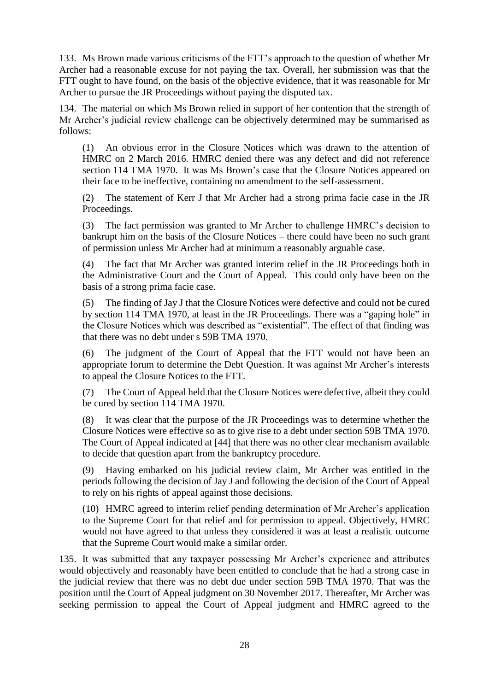133. Ms Brown made various criticisms of the FTT's approach to the question of whether Mr Archer had a reasonable excuse for not paying the tax. Overall, her submission was that the FTT ought to have found, on the basis of the objective evidence, that it was reasonable for Mr Archer to pursue the JR Proceedings without paying the disputed tax.

134. The material on which Ms Brown relied in support of her contention that the strength of Mr Archer's judicial review challenge can be objectively determined may be summarised as follows:

(1) An obvious error in the Closure Notices which was drawn to the attention of HMRC on 2 March 2016. HMRC denied there was any defect and did not reference section 114 TMA 1970. It was Ms Brown's case that the Closure Notices appeared on their face to be ineffective, containing no amendment to the self-assessment.

(2) The statement of Kerr J that Mr Archer had a strong prima facie case in the JR Proceedings.

(3) The fact permission was granted to Mr Archer to challenge HMRC's decision to bankrupt him on the basis of the Closure Notices – there could have been no such grant of permission unless Mr Archer had at minimum a reasonably arguable case.

(4) The fact that Mr Archer was granted interim relief in the JR Proceedings both in the Administrative Court and the Court of Appeal. This could only have been on the basis of a strong prima facie case.

(5) The finding of Jay J that the Closure Notices were defective and could not be cured by section 114 TMA 1970, at least in the JR Proceedings. There was a "gaping hole" in the Closure Notices which was described as "existential". The effect of that finding was that there was no debt under s 59B TMA 1970.

(6) The judgment of the Court of Appeal that the FTT would not have been an appropriate forum to determine the Debt Question. It was against Mr Archer's interests to appeal the Closure Notices to the FTT.

(7) The Court of Appeal held that the Closure Notices were defective, albeit they could be cured by section 114 TMA 1970.

(8) It was clear that the purpose of the JR Proceedings was to determine whether the Closure Notices were effective so as to give rise to a debt under section 59B TMA 1970. The Court of Appeal indicated at [44] that there was no other clear mechanism available to decide that question apart from the bankruptcy procedure.

(9) Having embarked on his judicial review claim, Mr Archer was entitled in the periods following the decision of Jay J and following the decision of the Court of Appeal to rely on his rights of appeal against those decisions.

(10) HMRC agreed to interim relief pending determination of Mr Archer's application to the Supreme Court for that relief and for permission to appeal. Objectively, HMRC would not have agreed to that unless they considered it was at least a realistic outcome that the Supreme Court would make a similar order.

135. It was submitted that any taxpayer possessing Mr Archer's experience and attributes would objectively and reasonably have been entitled to conclude that he had a strong case in the judicial review that there was no debt due under section 59B TMA 1970. That was the position until the Court of Appeal judgment on 30 November 2017. Thereafter, Mr Archer was seeking permission to appeal the Court of Appeal judgment and HMRC agreed to the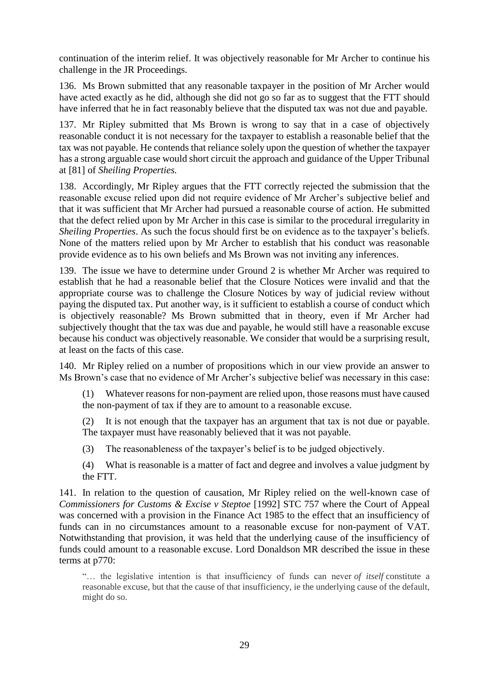continuation of the interim relief. It was objectively reasonable for Mr Archer to continue his challenge in the JR Proceedings.

136. Ms Brown submitted that any reasonable taxpayer in the position of Mr Archer would have acted exactly as he did, although she did not go so far as to suggest that the FTT should have inferred that he in fact reasonably believe that the disputed tax was not due and payable.

137. Mr Ripley submitted that Ms Brown is wrong to say that in a case of objectively reasonable conduct it is not necessary for the taxpayer to establish a reasonable belief that the tax was not payable. He contends that reliance solely upon the question of whether the taxpayer has a strong arguable case would short circuit the approach and guidance of the Upper Tribunal at [81] of *Sheiling Properties.*

138. Accordingly, Mr Ripley argues that the FTT correctly rejected the submission that the reasonable excuse relied upon did not require evidence of Mr Archer's subjective belief and that it was sufficient that Mr Archer had pursued a reasonable course of action. He submitted that the defect relied upon by Mr Archer in this case is similar to the procedural irregularity in *Sheiling Properties*. As such the focus should first be on evidence as to the taxpayer's beliefs. None of the matters relied upon by Mr Archer to establish that his conduct was reasonable provide evidence as to his own beliefs and Ms Brown was not inviting any inferences.

139. The issue we have to determine under Ground 2 is whether Mr Archer was required to establish that he had a reasonable belief that the Closure Notices were invalid and that the appropriate course was to challenge the Closure Notices by way of judicial review without paying the disputed tax. Put another way, is it sufficient to establish a course of conduct which is objectively reasonable? Ms Brown submitted that in theory, even if Mr Archer had subjectively thought that the tax was due and payable, he would still have a reasonable excuse because his conduct was objectively reasonable. We consider that would be a surprising result, at least on the facts of this case.

140. Mr Ripley relied on a number of propositions which in our view provide an answer to Ms Brown's case that no evidence of Mr Archer's subjective belief was necessary in this case:

(1) Whatever reasons for non-payment are relied upon, those reasons must have caused the non-payment of tax if they are to amount to a reasonable excuse.

(2) It is not enough that the taxpayer has an argument that tax is not due or payable. The taxpayer must have reasonably believed that it was not payable.

(3) The reasonableness of the taxpayer's belief is to be judged objectively.

(4) What is reasonable is a matter of fact and degree and involves a value judgment by the FTT.

141. In relation to the question of causation, Mr Ripley relied on the well-known case of *Commissioners for Customs & Excise v Steptoe* [1992] STC 757 where the Court of Appeal was concerned with a provision in the Finance Act 1985 to the effect that an insufficiency of funds can in no circumstances amount to a reasonable excuse for non-payment of VAT. Notwithstanding that provision, it was held that the underlying cause of the insufficiency of funds could amount to a reasonable excuse. Lord Donaldson MR described the issue in these terms at p770:

"… the legislative intention is that insufficiency of funds can never *of itself* constitute a reasonable excuse, but that the cause of that insufficiency, ie the underlying cause of the default, might do so.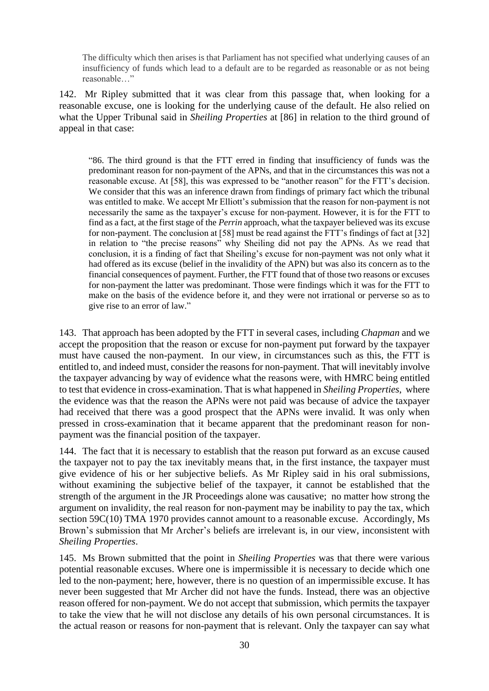The difficulty which then arises is that Parliament has not specified what underlying causes of an insufficiency of funds which lead to a default are to be regarded as reasonable or as not being reasonable…"

142. Mr Ripley submitted that it was clear from this passage that, when looking for a reasonable excuse, one is looking for the underlying cause of the default. He also relied on what the Upper Tribunal said in *Sheiling Properties* at [86] in relation to the third ground of appeal in that case:

"86. The third ground is that the FTT erred in finding that insufficiency of funds was the predominant reason for non-payment of the APNs, and that in the circumstances this was not a reasonable excuse. At [58], this was expressed to be "another reason" for the FTT's decision. We consider that this was an inference drawn from findings of primary fact which the tribunal was entitled to make. We accept Mr Elliott's submission that the reason for non-payment is not necessarily the same as the taxpayer's excuse for non-payment. However, it is for the FTT to find as a fact, at the first stage of the *Perrin* approach, what the taxpayer believed was its excuse for non-payment. The conclusion at [58] must be read against the FTT's findings of fact at [32] in relation to "the precise reasons" why Sheiling did not pay the APNs. As we read that conclusion, it is a finding of fact that Sheiling's excuse for non-payment was not only what it had offered as its excuse (belief in the invalidity of the APN) but was also its concern as to the financial consequences of payment. Further, the FTT found that of those two reasons or excuses for non-payment the latter was predominant. Those were findings which it was for the FTT to make on the basis of the evidence before it, and they were not irrational or perverse so as to give rise to an error of law."

143. That approach has been adopted by the FTT in several cases, including *Chapman* and we accept the proposition that the reason or excuse for non-payment put forward by the taxpayer must have caused the non-payment. In our view, in circumstances such as this, the FTT is entitled to, and indeed must, consider the reasons for non-payment. That will inevitably involve the taxpayer advancing by way of evidence what the reasons were, with HMRC being entitled to test that evidence in cross-examination. That is what happened in *Sheiling Properties*, where the evidence was that the reason the APNs were not paid was because of advice the taxpayer had received that there was a good prospect that the APNs were invalid. It was only when pressed in cross-examination that it became apparent that the predominant reason for nonpayment was the financial position of the taxpayer.

144. The fact that it is necessary to establish that the reason put forward as an excuse caused the taxpayer not to pay the tax inevitably means that, in the first instance, the taxpayer must give evidence of his or her subjective beliefs. As Mr Ripley said in his oral submissions, without examining the subjective belief of the taxpayer, it cannot be established that the strength of the argument in the JR Proceedings alone was causative; no matter how strong the argument on invalidity, the real reason for non-payment may be inability to pay the tax, which section 59C(10) TMA 1970 provides cannot amount to a reasonable excuse. Accordingly, Ms Brown's submission that Mr Archer's beliefs are irrelevant is, in our view, inconsistent with *Sheiling Properties*.

145. Ms Brown submitted that the point in *Sheiling Properties* was that there were various potential reasonable excuses. Where one is impermissible it is necessary to decide which one led to the non-payment; here, however, there is no question of an impermissible excuse. It has never been suggested that Mr Archer did not have the funds. Instead, there was an objective reason offered for non-payment. We do not accept that submission, which permits the taxpayer to take the view that he will not disclose any details of his own personal circumstances. It is the actual reason or reasons for non-payment that is relevant. Only the taxpayer can say what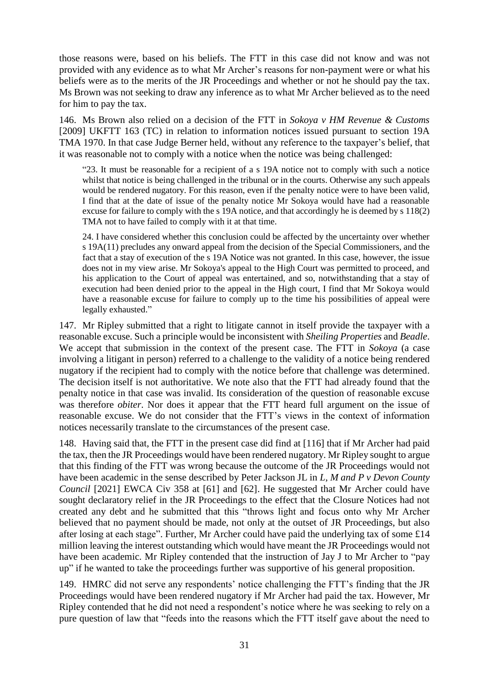those reasons were, based on his beliefs. The FTT in this case did not know and was not provided with any evidence as to what Mr Archer's reasons for non-payment were or what his beliefs were as to the merits of the JR Proceedings and whether or not he should pay the tax. Ms Brown was not seeking to draw any inference as to what Mr Archer believed as to the need for him to pay the tax.

146. Ms Brown also relied on a decision of the FTT in *Sokoya v HM Revenue & Customs*  [2009] UKFTT 163 (TC) in relation to information notices issued pursuant to section 19A TMA 1970. In that case Judge Berner held, without any reference to the taxpayer's belief, that it was reasonable not to comply with a notice when the notice was being challenged:

"23. It must be reasonable for a recipient of a s 19A notice not to comply with such a notice whilst that notice is being challenged in the tribunal or in the courts. Otherwise any such appeals would be rendered nugatory. For this reason, even if the penalty notice were to have been valid, I find that at the date of issue of the penalty notice Mr Sokoya would have had a reasonable excuse for failure to comply with the s 19A notice, and that accordingly he is deemed by s 118(2) TMA not to have failed to comply with it at that time.

24. I have considered whether this conclusion could be affected by the uncertainty over whether s 19A(11) precludes any onward appeal from the decision of the Special Commissioners, and the fact that a stay of execution of the s 19A Notice was not granted. In this case, however, the issue does not in my view arise. Mr Sokoya's appeal to the High Court was permitted to proceed, and his application to the Court of appeal was entertained, and so, notwithstanding that a stay of execution had been denied prior to the appeal in the High court, I find that Mr Sokoya would have a reasonable excuse for failure to comply up to the time his possibilities of appeal were legally exhausted."

147. Mr Ripley submitted that a right to litigate cannot in itself provide the taxpayer with a reasonable excuse. Such a principle would be inconsistent with *Sheiling Properties* and *Beadle*. We accept that submission in the context of the present case. The FTT in *Sokoya* (a case involving a litigant in person) referred to a challenge to the validity of a notice being rendered nugatory if the recipient had to comply with the notice before that challenge was determined. The decision itself is not authoritative. We note also that the FTT had already found that the penalty notice in that case was invalid. Its consideration of the question of reasonable excuse was therefore *obiter*. Nor does it appear that the FTT heard full argument on the issue of reasonable excuse. We do not consider that the FTT's views in the context of information notices necessarily translate to the circumstances of the present case.

148. Having said that, the FTT in the present case did find at [116] that if Mr Archer had paid the tax, then the JR Proceedings would have been rendered nugatory. Mr Ripley sought to argue that this finding of the FTT was wrong because the outcome of the JR Proceedings would not have been academic in the sense described by Peter Jackson JL in *L, M and P v Devon County Council* [2021] EWCA Civ 358 at [61] and [62]. He suggested that Mr Archer could have sought declaratory relief in the JR Proceedings to the effect that the Closure Notices had not created any debt and he submitted that this "throws light and focus onto why Mr Archer believed that no payment should be made, not only at the outset of JR Proceedings, but also after losing at each stage". Further, Mr Archer could have paid the underlying tax of some £14 million leaving the interest outstanding which would have meant the JR Proceedings would not have been academic. Mr Ripley contended that the instruction of Jay J to Mr Archer to "pay up" if he wanted to take the proceedings further was supportive of his general proposition.

149. HMRC did not serve any respondents' notice challenging the FTT's finding that the JR Proceedings would have been rendered nugatory if Mr Archer had paid the tax. However, Mr Ripley contended that he did not need a respondent's notice where he was seeking to rely on a pure question of law that "feeds into the reasons which the FTT itself gave about the need to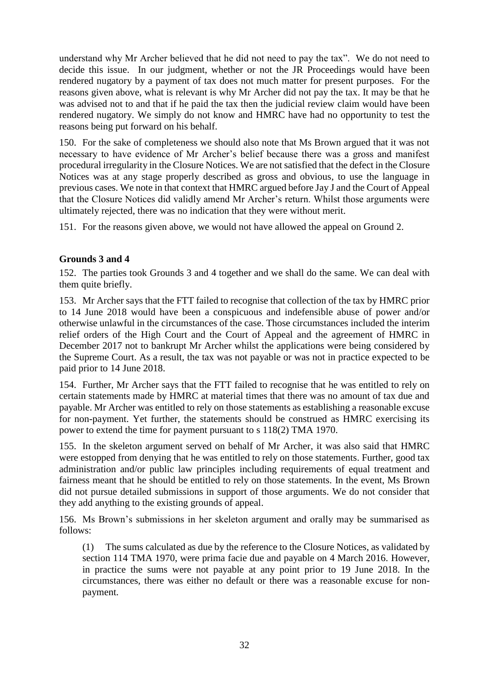understand why Mr Archer believed that he did not need to pay the tax". We do not need to decide this issue. In our judgment, whether or not the JR Proceedings would have been rendered nugatory by a payment of tax does not much matter for present purposes. For the reasons given above, what is relevant is why Mr Archer did not pay the tax. It may be that he was advised not to and that if he paid the tax then the judicial review claim would have been rendered nugatory. We simply do not know and HMRC have had no opportunity to test the reasons being put forward on his behalf.

150. For the sake of completeness we should also note that Ms Brown argued that it was not necessary to have evidence of Mr Archer's belief because there was a gross and manifest procedural irregularity in the Closure Notices. We are not satisfied that the defect in the Closure Notices was at any stage properly described as gross and obvious, to use the language in previous cases. We note in that context that HMRC argued before Jay J and the Court of Appeal that the Closure Notices did validly amend Mr Archer's return. Whilst those arguments were ultimately rejected, there was no indication that they were without merit.

151. For the reasons given above, we would not have allowed the appeal on Ground 2.

### **Grounds 3 and 4**

152. The parties took Grounds 3 and 4 together and we shall do the same. We can deal with them quite briefly.

153. Mr Archer says that the FTT failed to recognise that collection of the tax by HMRC prior to 14 June 2018 would have been a conspicuous and indefensible abuse of power and/or otherwise unlawful in the circumstances of the case. Those circumstances included the interim relief orders of the High Court and the Court of Appeal and the agreement of HMRC in December 2017 not to bankrupt Mr Archer whilst the applications were being considered by the Supreme Court. As a result, the tax was not payable or was not in practice expected to be paid prior to 14 June 2018.

154. Further, Mr Archer says that the FTT failed to recognise that he was entitled to rely on certain statements made by HMRC at material times that there was no amount of tax due and payable. Mr Archer was entitled to rely on those statements as establishing a reasonable excuse for non-payment. Yet further, the statements should be construed as HMRC exercising its power to extend the time for payment pursuant to s 118(2) TMA 1970.

155. In the skeleton argument served on behalf of Mr Archer, it was also said that HMRC were estopped from denying that he was entitled to rely on those statements. Further, good tax administration and/or public law principles including requirements of equal treatment and fairness meant that he should be entitled to rely on those statements. In the event, Ms Brown did not pursue detailed submissions in support of those arguments. We do not consider that they add anything to the existing grounds of appeal.

156. Ms Brown's submissions in her skeleton argument and orally may be summarised as follows:

(1) The sums calculated as due by the reference to the Closure Notices, as validated by section 114 TMA 1970, were prima facie due and payable on 4 March 2016. However, in practice the sums were not payable at any point prior to 19 June 2018. In the circumstances, there was either no default or there was a reasonable excuse for nonpayment.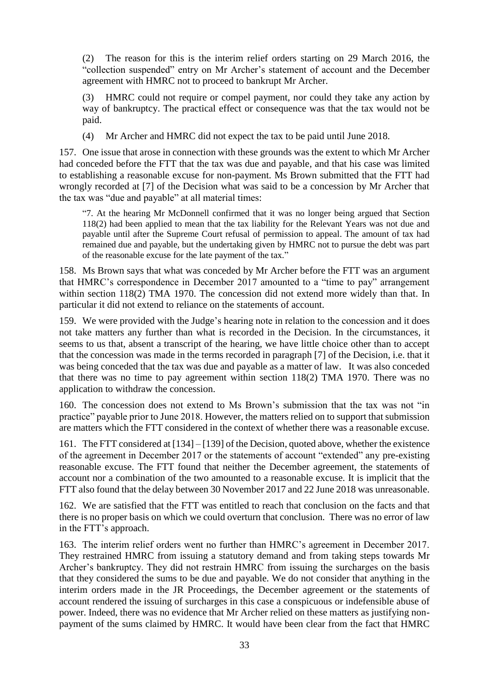(2) The reason for this is the interim relief orders starting on 29 March 2016, the "collection suspended" entry on Mr Archer's statement of account and the December agreement with HMRC not to proceed to bankrupt Mr Archer.

(3) HMRC could not require or compel payment, nor could they take any action by way of bankruptcy. The practical effect or consequence was that the tax would not be paid.

(4) Mr Archer and HMRC did not expect the tax to be paid until June 2018.

157. One issue that arose in connection with these grounds was the extent to which Mr Archer had conceded before the FTT that the tax was due and payable, and that his case was limited to establishing a reasonable excuse for non-payment. Ms Brown submitted that the FTT had wrongly recorded at [7] of the Decision what was said to be a concession by Mr Archer that the tax was "due and payable" at all material times:

"7. At the hearing Mr McDonnell confirmed that it was no longer being argued that Section 118(2) had been applied to mean that the tax liability for the Relevant Years was not due and payable until after the Supreme Court refusal of permission to appeal. The amount of tax had remained due and payable, but the undertaking given by HMRC not to pursue the debt was part of the reasonable excuse for the late payment of the tax."

158. Ms Brown says that what was conceded by Mr Archer before the FTT was an argument that HMRC's correspondence in December 2017 amounted to a "time to pay" arrangement within section 118(2) TMA 1970. The concession did not extend more widely than that. In particular it did not extend to reliance on the statements of account.

159. We were provided with the Judge's hearing note in relation to the concession and it does not take matters any further than what is recorded in the Decision. In the circumstances, it seems to us that, absent a transcript of the hearing, we have little choice other than to accept that the concession was made in the terms recorded in paragraph [7] of the Decision, i.e. that it was being conceded that the tax was due and payable as a matter of law. It was also conceded that there was no time to pay agreement within section 118(2) TMA 1970. There was no application to withdraw the concession.

160. The concession does not extend to Ms Brown's submission that the tax was not "in practice" payable prior to June 2018. However, the matters relied on to support that submission are matters which the FTT considered in the context of whether there was a reasonable excuse.

161. The FTT considered at [134] – [139] of the Decision, quoted above, whether the existence of the agreement in December 2017 or the statements of account "extended" any pre-existing reasonable excuse. The FTT found that neither the December agreement, the statements of account nor a combination of the two amounted to a reasonable excuse. It is implicit that the FTT also found that the delay between 30 November 2017 and 22 June 2018 was unreasonable.

162. We are satisfied that the FTT was entitled to reach that conclusion on the facts and that there is no proper basis on which we could overturn that conclusion. There was no error of law in the FTT's approach.

163. The interim relief orders went no further than HMRC's agreement in December 2017. They restrained HMRC from issuing a statutory demand and from taking steps towards Mr Archer's bankruptcy. They did not restrain HMRC from issuing the surcharges on the basis that they considered the sums to be due and payable. We do not consider that anything in the interim orders made in the JR Proceedings, the December agreement or the statements of account rendered the issuing of surcharges in this case a conspicuous or indefensible abuse of power. Indeed, there was no evidence that Mr Archer relied on these matters as justifying nonpayment of the sums claimed by HMRC. It would have been clear from the fact that HMRC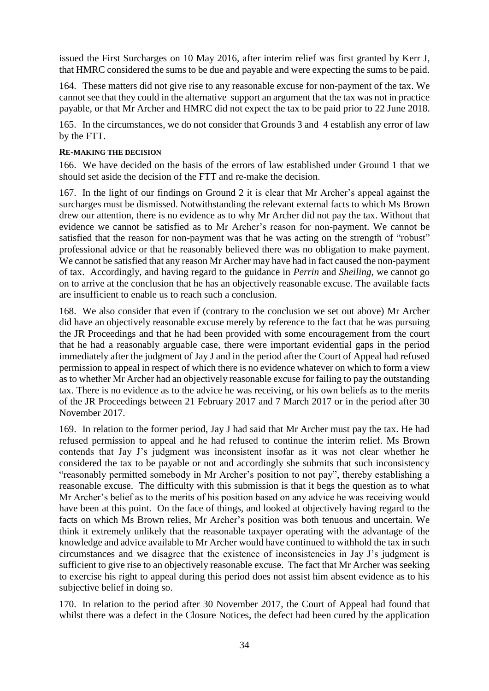issued the First Surcharges on 10 May 2016, after interim relief was first granted by Kerr J, that HMRC considered the sums to be due and payable and were expecting the sums to be paid.

164. These matters did not give rise to any reasonable excuse for non-payment of the tax. We cannot see that they could in the alternative support an argument that the tax was not in practice payable, or that Mr Archer and HMRC did not expect the tax to be paid prior to 22 June 2018.

165. In the circumstances, we do not consider that Grounds 3 and 4 establish any error of law by the FTT.

### **RE-MAKING THE DECISION**

166. We have decided on the basis of the errors of law established under Ground 1 that we should set aside the decision of the FTT and re-make the decision.

167. In the light of our findings on Ground 2 it is clear that Mr Archer's appeal against the surcharges must be dismissed. Notwithstanding the relevant external facts to which Ms Brown drew our attention, there is no evidence as to why Mr Archer did not pay the tax. Without that evidence we cannot be satisfied as to Mr Archer's reason for non-payment. We cannot be satisfied that the reason for non-payment was that he was acting on the strength of "robust" professional advice or that he reasonably believed there was no obligation to make payment. We cannot be satisfied that any reason Mr Archer may have had in fact caused the non-payment of tax. Accordingly, and having regard to the guidance in *Perrin* and *Sheiling*, we cannot go on to arrive at the conclusion that he has an objectively reasonable excuse. The available facts are insufficient to enable us to reach such a conclusion.

168. We also consider that even if (contrary to the conclusion we set out above) Mr Archer did have an objectively reasonable excuse merely by reference to the fact that he was pursuing the JR Proceedings and that he had been provided with some encouragement from the court that he had a reasonably arguable case, there were important evidential gaps in the period immediately after the judgment of Jay J and in the period after the Court of Appeal had refused permission to appeal in respect of which there is no evidence whatever on which to form a view as to whether Mr Archer had an objectively reasonable excuse for failing to pay the outstanding tax. There is no evidence as to the advice he was receiving, or his own beliefs as to the merits of the JR Proceedings between 21 February 2017 and 7 March 2017 or in the period after 30 November 2017.

169. In relation to the former period, Jay J had said that Mr Archer must pay the tax. He had refused permission to appeal and he had refused to continue the interim relief. Ms Brown contends that Jay J's judgment was inconsistent insofar as it was not clear whether he considered the tax to be payable or not and accordingly she submits that such inconsistency "reasonably permitted somebody in Mr Archer's position to not pay", thereby establishing a reasonable excuse. The difficulty with this submission is that it begs the question as to what Mr Archer's belief as to the merits of his position based on any advice he was receiving would have been at this point. On the face of things, and looked at objectively having regard to the facts on which Ms Brown relies, Mr Archer's position was both tenuous and uncertain. We think it extremely unlikely that the reasonable taxpayer operating with the advantage of the knowledge and advice available to Mr Archer would have continued to withhold the tax in such circumstances and we disagree that the existence of inconsistencies in Jay J's judgment is sufficient to give rise to an objectively reasonable excuse. The fact that Mr Archer was seeking to exercise his right to appeal during this period does not assist him absent evidence as to his subjective belief in doing so.

170. In relation to the period after 30 November 2017, the Court of Appeal had found that whilst there was a defect in the Closure Notices, the defect had been cured by the application